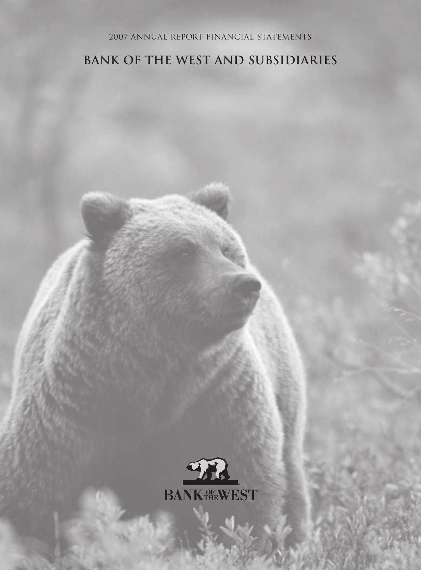## 2007 Annual report Financial Statements

# **Bank of the West and Subsidiaries**

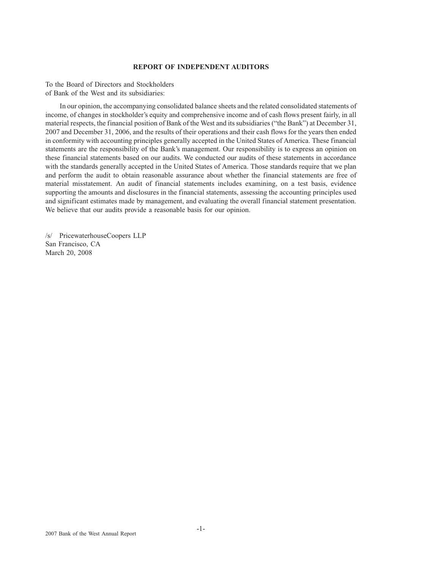## **REPORT OF INDEPENDENT AUDITORS**

To the Board of Directors and Stockholders of Bank of the West and its subsidiaries:

In our opinion, the accompanying consolidated balance sheets and the related consolidated statements of income, of changes in stockholder's equity and comprehensive income and of cash flows present fairly, in all material respects, the financial position of Bank of the West and its subsidiaries ("the Bank") at December 31, 2007 and December 31, 2006, and the results of their operations and their cash flows for the years then ended in conformity with accounting principles generally accepted in the United States of America. These financial statements are the responsibility of the Bank's management. Our responsibility is to express an opinion on these financial statements based on our audits. We conducted our audits of these statements in accordance with the standards generally accepted in the United States of America. Those standards require that we plan and perform the audit to obtain reasonable assurance about whether the financial statements are free of material misstatement. An audit of financial statements includes examining, on a test basis, evidence supporting the amounts and disclosures in the financial statements, assessing the accounting principles used and significant estimates made by management, and evaluating the overall financial statement presentation. We believe that our audits provide a reasonable basis for our opinion.

/s/ PricewaterhouseCoopers LLP San Francisco, CA March 20, 2008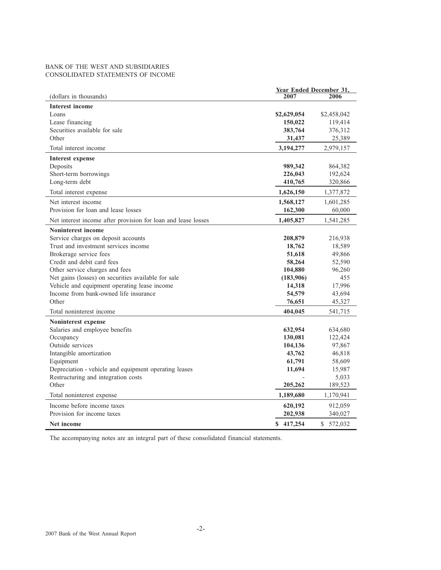## BANK OF THE WEST AND SUBSIDIARIES CONSOLIDATED STATEMENTS OF INCOME

|                                                               | Year Ended December 31, |             |
|---------------------------------------------------------------|-------------------------|-------------|
| (dollars in thousands)                                        | 2007                    | 2006        |
| <b>Interest income</b>                                        |                         |             |
| Loans                                                         | \$2,629,054             | \$2,458,042 |
| Lease financing                                               | 150,022                 | 119,414     |
| Securities available for sale                                 | 383,764                 | 376,312     |
| Other                                                         | 31,437                  | 25,389      |
| Total interest income                                         | 3,194,277               | 2,979,157   |
| <b>Interest expense</b>                                       |                         |             |
| Deposits                                                      | 989,342                 | 864,382     |
| Short-term borrowings                                         | 226,043                 | 192,624     |
| Long-term debt                                                | 410,765                 | 320,866     |
| Total interest expense                                        | 1,626,150               | 1,377,872   |
| Net interest income                                           | 1,568,127               | 1,601,285   |
| Provision for loan and lease losses                           | 162,300                 | 60,000      |
| Net interest income after provision for loan and lease losses | 1,405,827               | 1,541,285   |
| <b>Noninterest income</b>                                     |                         |             |
| Service charges on deposit accounts                           | 208,879                 | 216,938     |
| Trust and investment services income                          | 18,762                  | 18,589      |
| Brokerage service fees                                        | 51,618                  | 49,866      |
| Credit and debit card fees                                    | 58,264                  | 52,590      |
| Other service charges and fees                                | 104,880                 | 96,260      |
| Net gains (losses) on securities available for sale           | (183,906)               | 455         |
| Vehicle and equipment operating lease income                  | 14,318                  | 17,996      |
| Income from bank-owned life insurance                         | 54,579                  | 43,694      |
| Other                                                         | 76,651                  | 45,327      |
| Total noninterest income                                      | 404,045                 | 541,715     |
| Noninterest expense                                           |                         |             |
| Salaries and employee benefits                                | 632,954                 | 634,680     |
| Occupancy                                                     | 130,081                 | 122,424     |
| Outside services                                              | 104,136                 | 97,867      |
| Intangible amortization                                       | 43,762                  | 46,818      |
| Equipment                                                     | 61,791                  | 58,609      |
| Depreciation - vehicle and equipment operating leases         | 11,694                  | 15,987      |
| Restructuring and integration costs                           |                         | 5,033       |
| Other                                                         | 205,262                 | 189,523     |
| Total noninterest expense                                     | 1,189,680               | 1,170,941   |
| Income before income taxes                                    | 620,192                 | 912,059     |
| Provision for income taxes                                    | 202,938                 | 340,027     |
| Net income                                                    | \$417,254               | \$572,032   |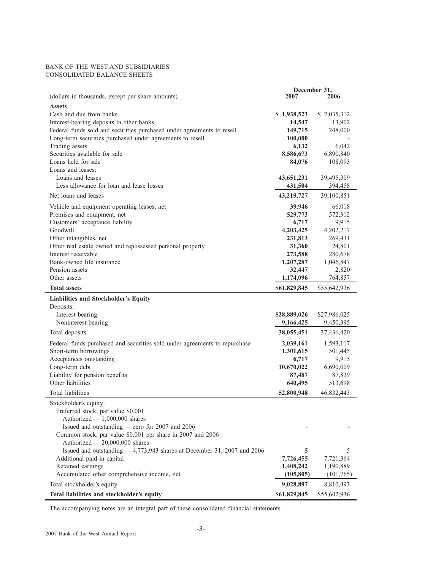## BANK OF THE WEST AND SUBSIDIARIES CONSOLIDATED BALANCE SHEETS

|                                                                            | December 31, |              |
|----------------------------------------------------------------------------|--------------|--------------|
| (dollars in thousands, except per share amounts)                           | 2007         | 2006         |
| <b>Assets</b>                                                              |              |              |
| Cash and due from banks                                                    | \$1,938,523  | \$2,035,312  |
| Interest-bearing deposits in other banks                                   | 14,547       | 13,902       |
| Federal funds sold and securities purchased under agreements to resell     | 149,715      | 248,000      |
| Long-term securities purchased under agreements to resell                  | 100,000      |              |
| Trading assets                                                             | 6,132        | 6,042        |
| Securities available for sale                                              | 8,586,673    | 6,890,840    |
| Loans held for sale                                                        | 84,076       | 108,093      |
| Loans and leases:                                                          |              |              |
| Loans and leases                                                           | 43,651,231   | 39,495,309   |
| Less allowance for loan and lease losses                                   | 431,504      | 394,458      |
| Net loans and leases                                                       | 43,219,727   | 39,100,851   |
| Vehicle and equipment operating leases, net                                | 39,946       | 66,018       |
| Premises and equipment, net                                                | 529,773      | 572,312      |
| Customers' acceptance liability                                            | 6,717        | 9,915        |
| Goodwill                                                                   | 4,203,425    | 4,202,217    |
| Other intangibles, net                                                     | 231,813      | 269,431      |
| Other real estate owned and repossessed personal property                  | 31,360       | 24,801       |
| Interest receivable                                                        | 273,588      | 280,678      |
| Bank-owned life insurance                                                  | 1,207,287    | 1,046,847    |
| Pension assets                                                             | 32,447       | 2,820        |
| Other assets                                                               | 1,174,096    | 764,857      |
|                                                                            |              |              |
| <b>Total assets</b>                                                        | \$61,829,845 | \$55,642,936 |
| Liabilities and Stockholder's Equity                                       |              |              |
| Deposits:                                                                  |              |              |
| Interest-bearing                                                           | \$28,889,026 | \$27,986,025 |
| Noninterest-bearing                                                        | 9,166,425    | 9,450,395    |
| Total deposits                                                             | 38,055,451   | 37,436,420   |
| Federal funds purchased and securities sold under agreements to repurchase | 2,039,161    | 1,593,117    |
| Short-term borrowings                                                      | 1,301,615    | 501,445      |
| Acceptances outstanding                                                    | 6,717        | 9,915        |
| Long-term debt                                                             | 10,670,022   | 6,690,009    |
| Liability for pension benefits                                             | 87,487       | 87,839       |
| Other liabilities                                                          | 640,495      | 513,698      |
| Total liabilities                                                          | 52,800,948   | 46,832,443   |
| Stockholder's equity:                                                      |              |              |
| Preferred stock, par value \$0.001                                         |              |              |
| Authorized - 1,000,000 shares                                              |              |              |
| Issued and outstanding - zero for 2007 and 2006                            |              |              |
| Common stock, par value \$0.001 per share in 2007 and 2006                 |              |              |
| Authorized - 20,000,000 shares                                             |              |              |
| Issued and outstanding - 4,773,943 shares at December 31, 2007 and 2006    | 5            | 5            |
| Additional paid-in capital                                                 | 7,726,455    | 7,721,364    |
| Retained earnings                                                          | 1,408,242    | 1,190,889    |
| Accumulated other comprehensive income, net                                | (105, 805)   | (101,765)    |
| Total stockholder's equity                                                 | 9,028,897    | 8,810,493    |
| Total liabilities and stockholder's equity                                 | \$61,829,845 | \$55,642,936 |
|                                                                            |              |              |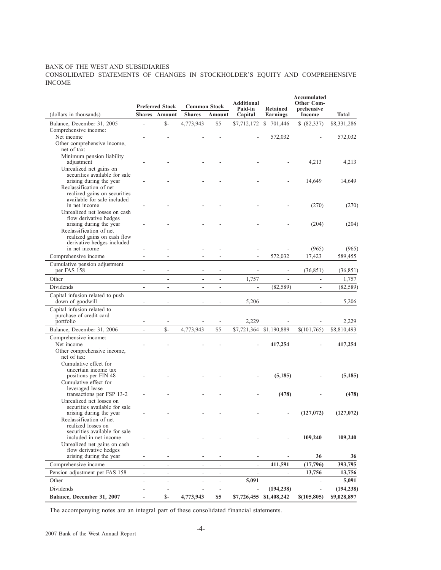## BANK OF THE WEST AND SUBSIDIARIES

CONSOLIDATED STATEMENTS OF CHANGES IN STOCKHOLDER'S EQUITY AND COMPREHENSIVE INCOME

|                                                         |                          | <b>Preferred Stock</b>   | <b>Common Stock</b>      |                                | <b>Additional</b><br>Paid-in | Retained                 | Accumulated<br><b>Other Com-</b><br>prehensive |                    |
|---------------------------------------------------------|--------------------------|--------------------------|--------------------------|--------------------------------|------------------------------|--------------------------|------------------------------------------------|--------------------|
| (dollars in thousands)                                  |                          | <b>Shares</b> Amount     | <b>Shares</b>            | Amount                         | Capital                      | Earnings                 | Income                                         | <b>Total</b>       |
| Balance, December 31, 2005                              | $\overline{a}$           | $S-$                     | 4,773,943                | \$5                            |                              | \$7,712,172 \$ 701,446   | \$ (82,337)                                    | \$8,331,286        |
| Comprehensive income:                                   |                          |                          |                          |                                |                              |                          |                                                |                    |
| Net income                                              |                          |                          |                          |                                |                              | 572,032                  |                                                | 572,032            |
| Other comprehensive income,                             |                          |                          |                          |                                |                              |                          |                                                |                    |
| net of tax:<br>Minimum pension liability                |                          |                          |                          |                                |                              |                          |                                                |                    |
| adjustment                                              |                          |                          |                          |                                |                              |                          | 4,213                                          | 4,213              |
| Unrealized net gains on                                 |                          |                          |                          |                                |                              |                          |                                                |                    |
| securities available for sale                           |                          |                          |                          |                                |                              |                          |                                                |                    |
| arising during the year                                 |                          |                          |                          |                                |                              |                          | 14,649                                         | 14,649             |
| Reclassification of net<br>realized gains on securities |                          |                          |                          |                                |                              |                          |                                                |                    |
| available for sale included                             |                          |                          |                          |                                |                              |                          |                                                |                    |
| in net income                                           |                          |                          |                          |                                |                              |                          | (270)                                          | (270)              |
| Unrealized net losses on cash                           |                          |                          |                          |                                |                              |                          |                                                |                    |
| flow derivative hedges                                  |                          |                          |                          |                                |                              |                          |                                                |                    |
| arising during the year<br>Reclassification of net      |                          |                          |                          |                                |                              |                          | (204)                                          | (204)              |
| realized gains on cash flow                             |                          |                          |                          |                                |                              |                          |                                                |                    |
| derivative hedges included                              |                          |                          |                          |                                |                              |                          |                                                |                    |
| in net income                                           |                          |                          |                          |                                |                              |                          | (965)                                          | (965)              |
| Comprehensive income                                    | $\overline{a}$           | $\overline{a}$           | ÷,                       | ÷,                             | $\overline{a}$               | 572,032                  | 17,423                                         | 589.455            |
| Cumulative pension adjustment<br>per FAS 158            |                          |                          |                          |                                |                              |                          |                                                |                    |
| Other                                                   |                          |                          |                          | ÷,                             | 1,757                        |                          | (36, 851)                                      | (36, 851)          |
| Dividends                                               | $\frac{1}{2}$            | $\overline{a}$           | ÷,                       | $\sim$                         |                              | (82, 589)                | $\overline{\phantom{a}}$                       | 1,757<br>(82, 589) |
|                                                         |                          |                          |                          |                                |                              |                          |                                                |                    |
| Capital infusion related to push<br>down of goodwill    |                          |                          |                          |                                | 5,206                        |                          |                                                | 5,206              |
| Capital infusion related to                             |                          |                          |                          |                                |                              |                          |                                                |                    |
| purchase of credit card                                 |                          |                          |                          |                                |                              |                          |                                                |                    |
| portfolio                                               |                          |                          |                          |                                | 2,229                        |                          |                                                | 2,229              |
| Balance, December 31, 2006                              | $\overline{\phantom{0}}$ | $S-$                     | 4,773,943                | \$5                            | \$7,721,364                  | \$1,190,889              | \$(101,765)                                    | \$8,810,493        |
| Comprehensive income:                                   |                          |                          |                          |                                |                              |                          |                                                |                    |
| Net income                                              |                          |                          |                          |                                |                              | 417,254                  |                                                | 417,254            |
| Other comprehensive income,<br>net of tax:              |                          |                          |                          |                                |                              |                          |                                                |                    |
| Cumulative effect for                                   |                          |                          |                          |                                |                              |                          |                                                |                    |
| uncertain income tax                                    |                          |                          |                          |                                |                              |                          |                                                |                    |
| positions per FIN 48                                    |                          |                          |                          |                                |                              | (5,185)                  |                                                | (5, 185)           |
| Cumulative effect for                                   |                          |                          |                          |                                |                              |                          |                                                |                    |
| leveraged lease<br>transactions per FSP 13-2            |                          |                          |                          |                                |                              | (478)                    |                                                | (478)              |
| Unrealized net losses on                                |                          |                          |                          |                                |                              |                          |                                                |                    |
| securities available for sale                           |                          |                          |                          |                                |                              |                          |                                                |                    |
| arising during the year                                 |                          |                          |                          |                                |                              |                          | (127,072)                                      | (127,072)          |
| Reclassification of net                                 |                          |                          |                          |                                |                              |                          |                                                |                    |
| realized losses on<br>securities available for sale     |                          |                          |                          |                                |                              |                          |                                                |                    |
| included in net income                                  |                          |                          |                          |                                |                              |                          | 109,240                                        | 109,240            |
| Unrealized net gains on cash                            |                          |                          |                          |                                |                              |                          |                                                |                    |
| flow derivative hedges                                  |                          |                          |                          |                                |                              |                          |                                                |                    |
| arising during the year                                 |                          | ٠                        |                          |                                |                              |                          | 36                                             | 36                 |
| Comprehensive income                                    | $\overline{a}$           | $\overline{a}$           | L.                       | $\overline{\phantom{a}}$<br>L. | L.                           | 411,591                  | (17,796)                                       | 393,795            |
| Pension adjustment per FAS 158<br>Other                 | $\overline{\phantom{0}}$ | $\overline{\phantom{a}}$ | $\overline{\phantom{a}}$ | $\overline{\phantom{a}}$       | 5,091                        | $\overline{\phantom{a}}$ | 13,756<br>$\overline{\phantom{a}}$             | 13,756<br>5,091    |
| Dividends                                               | $\overline{a}$           | $\overline{\phantom{a}}$ | $\overline{\phantom{a}}$ | $\overline{\phantom{a}}$       | $\blacksquare$               | (194, 238)               | $\overline{\phantom{a}}$                       | (194, 238)         |
| Balance, December 31, 2007                              | -                        | $S-$                     | 4,773,943                | \$5                            |                              | \$7,726,455 \$1,408,242  | \$(105,805)                                    | \$9,028,897        |
|                                                         |                          |                          |                          |                                |                              |                          |                                                |                    |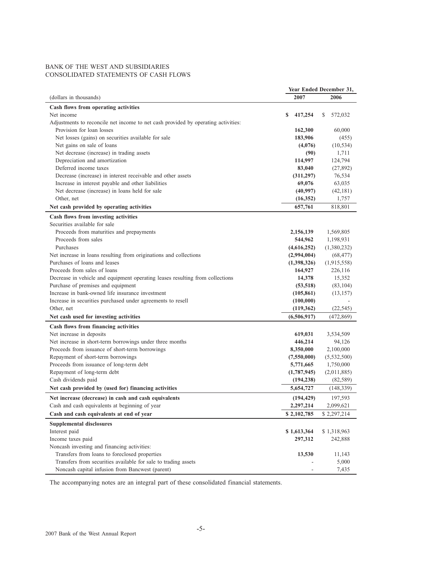## BANK OF THE WEST AND SUBSIDIARIES CONSOLIDATED STATEMENTS OF CASH FLOWS

|                                                                                        | Year Ended December 31,    |               |
|----------------------------------------------------------------------------------------|----------------------------|---------------|
| (dollars in thousands)                                                                 | 2007                       | 2006          |
| Cash flows from operating activities                                                   |                            |               |
| Net income                                                                             | 417,254<br>S               | \$<br>572,032 |
| Adjustments to reconcile net income to net cash provided by operating activities:      |                            |               |
| Provision for loan losses                                                              | 162,300                    | 60,000        |
| Net losses (gains) on securities available for sale                                    | 183,906                    | (455)         |
| Net gains on sale of loans                                                             | (4,076)                    | (10, 534)     |
| Net decrease (increase) in trading assets                                              | (90)                       | 1,711         |
| Depreciation and amortization                                                          | 114,997                    | 124,794       |
| Deferred income taxes                                                                  | 83,040                     | (27, 892)     |
| Decrease (increase) in interest receivable and other assets                            | (311, 297)                 | 76,534        |
| Increase in interest payable and other liabilities                                     | 69,076                     | 63,035        |
| Net decrease (increase) in loans held for sale                                         | (40,997)                   | (42, 181)     |
| Other, net                                                                             | (16,352)                   | 1,757         |
| Net cash provided by operating activities                                              | 657,761                    | 818,801       |
| Cash flows from investing activities                                                   |                            |               |
| Securities available for sale                                                          |                            |               |
| Proceeds from maturities and prepayments                                               | 2,156,139                  | 1,569,805     |
| Proceeds from sales                                                                    | 544,962                    | 1,198,931     |
| Purchases                                                                              |                            | (1,380,232)   |
| Net increase in loans resulting from originations and collections                      | (4,616,252)<br>(2,994,004) | (68, 477)     |
| Purchases of loans and leases                                                          |                            |               |
| Proceeds from sales of loans                                                           | (1,398,326)                | (1,915,558)   |
|                                                                                        | 164,927                    | 226,116       |
| Decrease in vehicle and equipment operating leases resulting from collections          | 14,378                     | 15,352        |
| Purchase of premises and equipment<br>Increase in bank-owned life insurance investment | (53, 518)                  | (83, 104)     |
|                                                                                        | (105, 861)                 | (13, 157)     |
| Increase in securities purchased under agreements to resell                            | (100,000)                  |               |
| Other, net                                                                             | (119, 362)                 | (22, 545)     |
| Net cash used for investing activities                                                 | (6,506,917)                | (472, 869)    |
| Cash flows from financing activities                                                   |                            |               |
| Net increase in deposits                                                               | 619,031                    | 3,534,509     |
| Net increase in short-term borrowings under three months                               | 446,214                    | 94,126        |
| Proceeds from issuance of short-term borrowings                                        | 8,350,000                  | 2,100,000     |
| Repayment of short-term borrowings                                                     | (7,550,000)                | (5,532,500)   |
| Proceeds from issuance of long-term debt                                               | 5,771,665                  | 1,750,000     |
| Repayment of long-term debt                                                            | (1,787,945)                | (2,011,885)   |
| Cash dividends paid                                                                    | (194, 238)                 | (82, 589)     |
| Net cash provided by (used for) financing activities                                   | 5,654,727                  | (148, 339)    |
| Net increase (decrease) in cash and cash equivalents                                   | (194, 429)                 | 197,593       |
| Cash and cash equivalents at beginning of year                                         | 2,297,214                  | 2,099,621     |
| Cash and cash equivalents at end of year                                               | \$2,102,785                | \$2,297,214   |
| <b>Supplemental disclosures</b>                                                        |                            |               |
| Interest paid                                                                          | \$1,613,364                | \$1,318,963   |
| Income taxes paid                                                                      | 297,312                    |               |
|                                                                                        |                            | 242,888       |
| Noncash investing and financing activities:                                            |                            |               |
| Transfers from loans to foreclosed properties                                          | 13,530                     | 11,143        |
| Transfers from securities available for sale to trading assets                         |                            | 5,000         |
| Noncash capital infusion from Bancwest (parent)                                        |                            | 7,435         |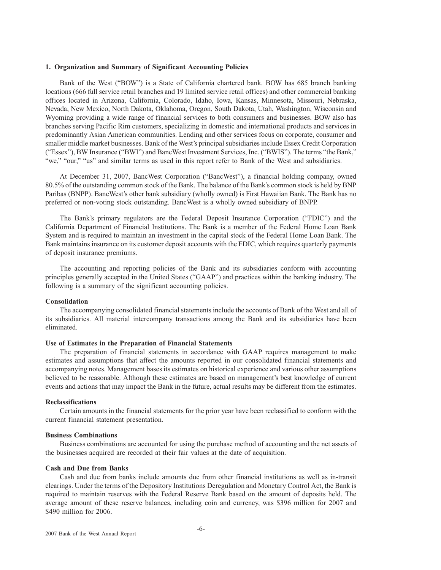## **1. Organization and Summary of Significant Accounting Policies**

Bank of the West ("BOW") is a State of California chartered bank. BOW has 685 branch banking locations (666 full service retail branches and 19 limited service retail offices) and other commercial banking offices located in Arizona, California, Colorado, Idaho, Iowa, Kansas, Minnesota, Missouri, Nebraska, Nevada, New Mexico, North Dakota, Oklahoma, Oregon, South Dakota, Utah, Washington, Wisconsin and Wyoming providing a wide range of financial services to both consumers and businesses. BOW also has branches serving Pacific Rim customers, specializing in domestic and international products and services in predominantly Asian American communities. Lending and other services focus on corporate, consumer and smaller middle market businesses. Bank of the West's principal subsidiaries include Essex Credit Corporation ("Essex"), BW Insurance ("BWI") and BancWest Investment Services, Inc. ("BWIS"). The terms "the Bank," "we," "our," "us" and similar terms as used in this report refer to Bank of the West and subsidiaries.

At December 31, 2007, BancWest Corporation ("BancWest"), a financial holding company, owned 80.5% of the outstanding common stock of the Bank. The balance of the Bank's common stock is held by BNP Paribas (BNPP). BancWest's other bank subsidiary (wholly owned) is First Hawaiian Bank. The Bank has no preferred or non-voting stock outstanding. BancWest is a wholly owned subsidiary of BNPP.

The Bank's primary regulators are the Federal Deposit Insurance Corporation ("FDIC") and the California Department of Financial Institutions. The Bank is a member of the Federal Home Loan Bank System and is required to maintain an investment in the capital stock of the Federal Home Loan Bank. The Bank maintains insurance on its customer deposit accounts with the FDIC, which requires quarterly payments of deposit insurance premiums.

The accounting and reporting policies of the Bank and its subsidiaries conform with accounting principles generally accepted in the United States ("GAAP") and practices within the banking industry. The following is a summary of the significant accounting policies.

#### **Consolidation**

The accompanying consolidated financial statements include the accounts of Bank of the West and all of its subsidiaries. All material intercompany transactions among the Bank and its subsidiaries have been eliminated.

#### **Use of Estimates in the Preparation of Financial Statements**

The preparation of financial statements in accordance with GAAP requires management to make estimates and assumptions that affect the amounts reported in our consolidated financial statements and accompanying notes. Management bases its estimates on historical experience and various other assumptions believed to be reasonable. Although these estimates are based on management's best knowledge of current events and actions that may impact the Bank in the future, actual results may be different from the estimates.

#### **Reclassifications**

Certain amounts in the financial statements for the prior year have been reclassified to conform with the current financial statement presentation.

#### **Business Combinations**

Business combinations are accounted for using the purchase method of accounting and the net assets of the businesses acquired are recorded at their fair values at the date of acquisition.

## **Cash and Due from Banks**

Cash and due from banks include amounts due from other financial institutions as well as in-transit clearings. Under the terms of the Depository Institutions Deregulation and Monetary Control Act, the Bank is required to maintain reserves with the Federal Reserve Bank based on the amount of deposits held. The average amount of these reserve balances, including coin and currency, was \$396 million for 2007 and \$490 million for 2006.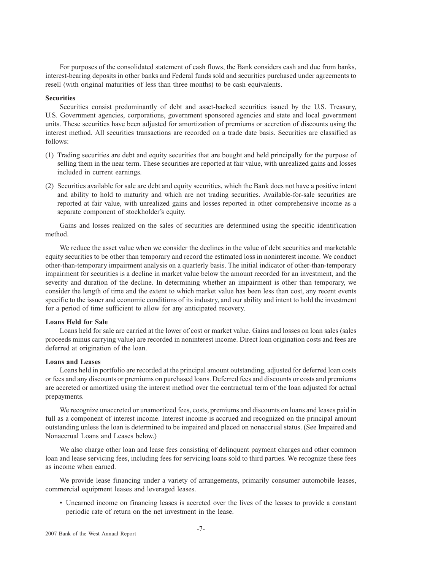For purposes of the consolidated statement of cash flows, the Bank considers cash and due from banks, interest-bearing deposits in other banks and Federal funds sold and securities purchased under agreements to resell (with original maturities of less than three months) to be cash equivalents.

## **Securities**

Securities consist predominantly of debt and asset-backed securities issued by the U.S. Treasury, U.S. Government agencies, corporations, government sponsored agencies and state and local government units. These securities have been adjusted for amortization of premiums or accretion of discounts using the interest method. All securities transactions are recorded on a trade date basis. Securities are classified as follows:

- (1) Trading securities are debt and equity securities that are bought and held principally for the purpose of selling them in the near term. These securities are reported at fair value, with unrealized gains and losses included in current earnings.
- (2) Securities available for sale are debt and equity securities, which the Bank does not have a positive intent and ability to hold to maturity and which are not trading securities. Available-for-sale securities are reported at fair value, with unrealized gains and losses reported in other comprehensive income as a separate component of stockholder's equity.

Gains and losses realized on the sales of securities are determined using the specific identification method.

We reduce the asset value when we consider the declines in the value of debt securities and marketable equity securities to be other than temporary and record the estimated loss in noninterest income. We conduct other-than-temporary impairment analysis on a quarterly basis. The initial indicator of other-than-temporary impairment for securities is a decline in market value below the amount recorded for an investment, and the severity and duration of the decline. In determining whether an impairment is other than temporary, we consider the length of time and the extent to which market value has been less than cost, any recent events specific to the issuer and economic conditions of its industry, and our ability and intent to hold the investment for a period of time sufficient to allow for any anticipated recovery.

#### **Loans Held for Sale**

Loans held for sale are carried at the lower of cost or market value. Gains and losses on loan sales (sales proceeds minus carrying value) are recorded in noninterest income. Direct loan origination costs and fees are deferred at origination of the loan.

#### **Loans and Leases**

Loans held in portfolio are recorded at the principal amount outstanding, adjusted for deferred loan costs or fees and any discounts or premiums on purchased loans. Deferred fees and discounts or costs and premiums are accreted or amortized using the interest method over the contractual term of the loan adjusted for actual prepayments.

We recognize unaccreted or unamortized fees, costs, premiums and discounts on loans and leases paid in full as a component of interest income. Interest income is accrued and recognized on the principal amount outstanding unless the loan is determined to be impaired and placed on nonaccrual status. (See Impaired and Nonaccrual Loans and Leases below.)

We also charge other loan and lease fees consisting of delinquent payment charges and other common loan and lease servicing fees, including fees for servicing loans sold to third parties. We recognize these fees as income when earned.

We provide lease financing under a variety of arrangements, primarily consumer automobile leases, commercial equipment leases and leveraged leases.

• Unearned income on financing leases is accreted over the lives of the leases to provide a constant periodic rate of return on the net investment in the lease.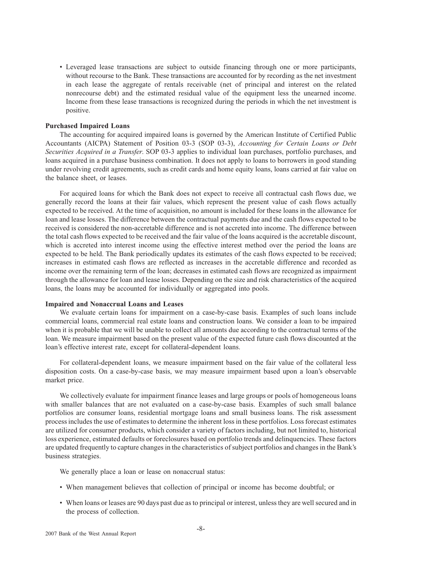• Leveraged lease transactions are subject to outside financing through one or more participants, without recourse to the Bank. These transactions are accounted for by recording as the net investment in each lease the aggregate of rentals receivable (net of principal and interest on the related nonrecourse debt) and the estimated residual value of the equipment less the unearned income. Income from these lease transactions is recognized during the periods in which the net investment is positive.

#### **Purchased Impaired Loans**

The accounting for acquired impaired loans is governed by the American Institute of Certified Public Accountants (AICPA) Statement of Position 03-3 (SOP 03-3), *Accounting for Certain Loans or Debt Securities Acquired in a Transfer*. SOP 03-3 applies to individual loan purchases, portfolio purchases, and loans acquired in a purchase business combination. It does not apply to loans to borrowers in good standing under revolving credit agreements, such as credit cards and home equity loans, loans carried at fair value on the balance sheet, or leases.

For acquired loans for which the Bank does not expect to receive all contractual cash flows due, we generally record the loans at their fair values, which represent the present value of cash flows actually expected to be received. At the time of acquisition, no amount is included for these loans in the allowance for loan and lease losses. The difference between the contractual payments due and the cash flows expected to be received is considered the non-accretable difference and is not accreted into income. The difference between the total cash flows expected to be received and the fair value of the loans acquired is the accretable discount, which is accreted into interest income using the effective interest method over the period the loans are expected to be held. The Bank periodically updates its estimates of the cash flows expected to be received; increases in estimated cash flows are reflected as increases in the accretable difference and recorded as income over the remaining term of the loan; decreases in estimated cash flows are recognized as impairment through the allowance for loan and lease losses. Depending on the size and risk characteristics of the acquired loans, the loans may be accounted for individually or aggregated into pools.

## **Impaired and Nonaccrual Loans and Leases**

We evaluate certain loans for impairment on a case-by-case basis. Examples of such loans include commercial loans, commercial real estate loans and construction loans. We consider a loan to be impaired when it is probable that we will be unable to collect all amounts due according to the contractual terms of the loan. We measure impairment based on the present value of the expected future cash flows discounted at the loan's effective interest rate, except for collateral-dependent loans.

For collateral-dependent loans, we measure impairment based on the fair value of the collateral less disposition costs. On a case-by-case basis, we may measure impairment based upon a loan's observable market price.

We collectively evaluate for impairment finance leases and large groups or pools of homogeneous loans with smaller balances that are not evaluated on a case-by-case basis. Examples of such small balance portfolios are consumer loans, residential mortgage loans and small business loans. The risk assessment process includes the use of estimates to determine the inherent loss in these portfolios. Loss forecast estimates are utilized for consumer products, which consider a variety of factors including, but not limited to, historical loss experience, estimated defaults or foreclosures based on portfolio trends and delinquencies. These factors are updated frequently to capture changes in the characteristics of subject portfolios and changes in the Bank's business strategies.

We generally place a loan or lease on nonaccrual status:

- When management believes that collection of principal or income has become doubtful; or
- When loans or leases are 90 days past due as to principal or interest, unless they are well secured and in the process of collection.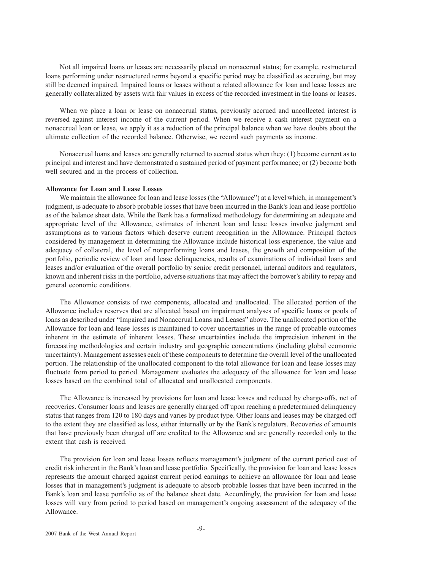Not all impaired loans or leases are necessarily placed on nonaccrual status; for example, restructured loans performing under restructured terms beyond a specific period may be classified as accruing, but may still be deemed impaired. Impaired loans or leases without a related allowance for loan and lease losses are generally collateralized by assets with fair values in excess of the recorded investment in the loans or leases.

When we place a loan or lease on nonaccrual status, previously accrued and uncollected interest is reversed against interest income of the current period. When we receive a cash interest payment on a nonaccrual loan or lease, we apply it as a reduction of the principal balance when we have doubts about the ultimate collection of the recorded balance. Otherwise, we record such payments as income.

Nonaccrual loans and leases are generally returned to accrual status when they: (1) become current as to principal and interest and have demonstrated a sustained period of payment performance; or (2) become both well secured and in the process of collection.

#### **Allowance for Loan and Lease Losses**

We maintain the allowance for loan and lease losses (the "Allowance") at a level which, in management's judgment, is adequate to absorb probable losses that have been incurred in the Bank's loan and lease portfolio as of the balance sheet date. While the Bank has a formalized methodology for determining an adequate and appropriate level of the Allowance, estimates of inherent loan and lease losses involve judgment and assumptions as to various factors which deserve current recognition in the Allowance. Principal factors considered by management in determining the Allowance include historical loss experience, the value and adequacy of collateral, the level of nonperforming loans and leases, the growth and composition of the portfolio, periodic review of loan and lease delinquencies, results of examinations of individual loans and leases and/or evaluation of the overall portfolio by senior credit personnel, internal auditors and regulators, known and inherent risks in the portfolio, adverse situations that may affect the borrower's ability to repay and general economic conditions.

The Allowance consists of two components, allocated and unallocated. The allocated portion of the Allowance includes reserves that are allocated based on impairment analyses of specific loans or pools of loans as described under "Impaired and Nonaccrual Loans and Leases" above. The unallocated portion of the Allowance for loan and lease losses is maintained to cover uncertainties in the range of probable outcomes inherent in the estimate of inherent losses. These uncertainties include the imprecision inherent in the forecasting methodologies and certain industry and geographic concentrations (including global economic uncertainty). Management assesses each of these components to determine the overall level of the unallocated portion. The relationship of the unallocated component to the total allowance for loan and lease losses may fluctuate from period to period. Management evaluates the adequacy of the allowance for loan and lease losses based on the combined total of allocated and unallocated components.

The Allowance is increased by provisions for loan and lease losses and reduced by charge-offs, net of recoveries. Consumer loans and leases are generally charged off upon reaching a predetermined delinquency status that ranges from 120 to 180 days and varies by product type. Other loans and leases may be charged off to the extent they are classified as loss, either internally or by the Bank's regulators. Recoveries of amounts that have previously been charged off are credited to the Allowance and are generally recorded only to the extent that cash is received.

The provision for loan and lease losses reflects management's judgment of the current period cost of credit risk inherent in the Bank's loan and lease portfolio. Specifically, the provision for loan and lease losses represents the amount charged against current period earnings to achieve an allowance for loan and lease losses that in management's judgment is adequate to absorb probable losses that have been incurred in the Bank's loan and lease portfolio as of the balance sheet date. Accordingly, the provision for loan and lease losses will vary from period to period based on management's ongoing assessment of the adequacy of the Allowance.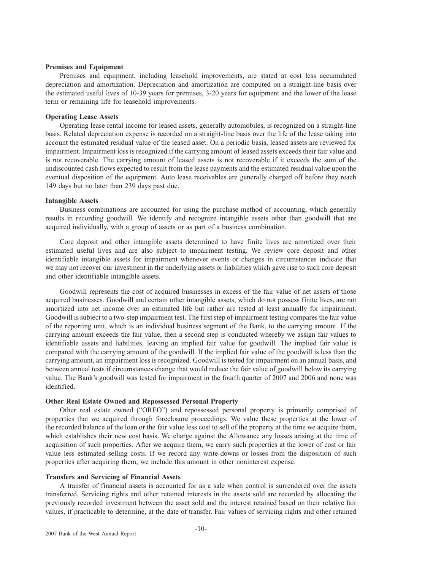## **Premises and Equipment**

Premises and equipment, including leasehold improvements, are stated at cost less accumulated depreciation and amortization. Depreciation and amortization are computed on a straight-line basis over the estimated useful lives of 10-39 years for premises, 3-20 years for equipment and the lower of the lease term or remaining life for leasehold improvements.

#### **Operating Lease Assets**

Operating lease rental income for leased assets, generally automobiles, is recognized on a straight-line basis. Related depreciation expense is recorded on a straight-line basis over the life of the lease taking into account the estimated residual value of the leased asset. On a periodic basis, leased assets are reviewed for impairment. Impairment loss is recognized if the carrying amount of leased assets exceeds their fair value and is not recoverable. The carrying amount of leased assets is not recoverable if it exceeds the sum of the undiscounted cash flows expected to result from the lease payments and the estimated residual value upon the eventual disposition of the equipment. Auto lease receivables are generally charged off before they reach 149 days but no later than 239 days past due.

## **Intangible Assets**

Business combinations are accounted for using the purchase method of accounting, which generally results in recording goodwill. We identify and recognize intangible assets other than goodwill that are acquired individually, with a group of assets or as part of a business combination.

Core deposit and other intangible assets determined to have finite lives are amortized over their estimated useful lives and are also subject to impairment testing. We review core deposit and other identifiable intangible assets for impairment whenever events or changes in circumstances indicate that we may not recover our investment in the underlying assets or liabilities which gave rise to such core deposit and other identifiable intangible assets.

Goodwill represents the cost of acquired businesses in excess of the fair value of net assets of those acquired businesses. Goodwill and certain other intangible assets, which do not possess finite lives, are not amortized into net income over an estimated life but rather are tested at least annually for impairment. Goodwill is subject to a two-step impairment test. The first step of impairment testing compares the fair value of the reporting unit, which is an individual business segment of the Bank, to the carrying amount. If the carrying amount exceeds the fair value, then a second step is conducted whereby we assign fair values to identifiable assets and liabilities, leaving an implied fair value for goodwill. The implied fair value is compared with the carrying amount of the goodwill. If the implied fair value of the goodwill is less than the carrying amount, an impairment loss is recognized. Goodwill is tested for impairment on an annual basis, and between annual tests if circumstances change that would reduce the fair value of goodwill below its carrying value. The Bank's goodwill was tested for impairment in the fourth quarter of 2007 and 2006 and none was identified.

## **Other Real Estate Owned and Repossessed Personal Property**

Other real estate owned ("OREO") and repossessed personal property is primarily comprised of properties that we acquired through foreclosure proceedings. We value these properties at the lower of the recorded balance of the loan or the fair value less cost to sell of the property at the time we acquire them, which establishes their new cost basis. We charge against the Allowance any losses arising at the time of acquisition of such properties. After we acquire them, we carry such properties at the lower of cost or fair value less estimated selling costs. If we record any write-downs or losses from the disposition of such properties after acquiring them, we include this amount in other noninterest expense.

#### **Transfers and Servicing of Financial Assets**

A transfer of financial assets is accounted for as a sale when control is surrendered over the assets transferred. Servicing rights and other retained interests in the assets sold are recorded by allocating the previously recorded investment between the asset sold and the interest retained based on their relative fair values, if practicable to determine, at the date of transfer. Fair values of servicing rights and other retained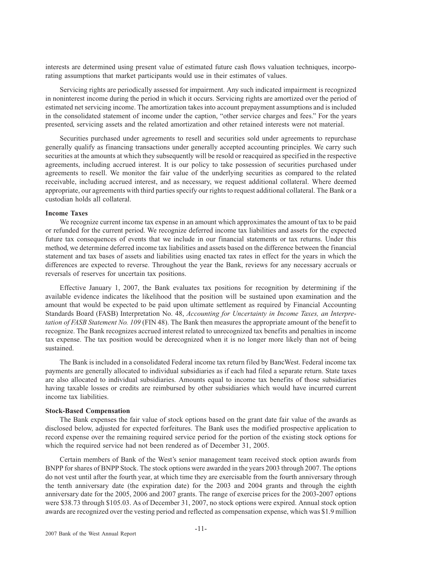interests are determined using present value of estimated future cash flows valuation techniques, incorporating assumptions that market participants would use in their estimates of values.

Servicing rights are periodically assessed for impairment. Any such indicated impairment is recognized in noninterest income during the period in which it occurs. Servicing rights are amortized over the period of estimated net servicing income. The amortization takes into account prepayment assumptions and is included in the consolidated statement of income under the caption, "other service charges and fees." For the years presented, servicing assets and the related amortization and other retained interests were not material.

Securities purchased under agreements to resell and securities sold under agreements to repurchase generally qualify as financing transactions under generally accepted accounting principles. We carry such securities at the amounts at which they subsequently will be resold or reacquired as specified in the respective agreements, including accrued interest. It is our policy to take possession of securities purchased under agreements to resell. We monitor the fair value of the underlying securities as compared to the related receivable, including accrued interest, and as necessary, we request additional collateral. Where deemed appropriate, our agreements with third parties specify our rights to request additional collateral. The Bank or a custodian holds all collateral.

## **Income Taxes**

We recognize current income tax expense in an amount which approximates the amount of tax to be paid or refunded for the current period. We recognize deferred income tax liabilities and assets for the expected future tax consequences of events that we include in our financial statements or tax returns. Under this method, we determine deferred income tax liabilities and assets based on the difference between the financial statement and tax bases of assets and liabilities using enacted tax rates in effect for the years in which the differences are expected to reverse. Throughout the year the Bank, reviews for any necessary accruals or reversals of reserves for uncertain tax positions.

Effective January 1, 2007, the Bank evaluates tax positions for recognition by determining if the available evidence indicates the likelihood that the position will be sustained upon examination and the amount that would be expected to be paid upon ultimate settlement as required by Financial Accounting Standards Board (FASB) Interpretation No. 48, *Accounting for Uncertainty in Income Taxes, an Interpretation of FASB Statement No. 109* (FIN 48). The Bank then measures the appropriate amount of the benefit to recognize. The Bank recognizes accrued interest related to unrecognized tax benefits and penalties in income tax expense. The tax position would be derecognized when it is no longer more likely than not of being sustained.

The Bank is included in a consolidated Federal income tax return filed by BancWest. Federal income tax payments are generally allocated to individual subsidiaries as if each had filed a separate return. State taxes are also allocated to individual subsidiaries. Amounts equal to income tax benefits of those subsidiaries having taxable losses or credits are reimbursed by other subsidiaries which would have incurred current income tax liabilities.

## **Stock-Based Compensation**

The Bank expenses the fair value of stock options based on the grant date fair value of the awards as disclosed below, adjusted for expected forfeitures. The Bank uses the modified prospective application to record expense over the remaining required service period for the portion of the existing stock options for which the required service had not been rendered as of December 31, 2005.

Certain members of Bank of the West's senior management team received stock option awards from BNPP for shares of BNPP Stock. The stock options were awarded in the years 2003 through 2007. The options do not vest until after the fourth year, at which time they are exercisable from the fourth anniversary through the tenth anniversary date (the expiration date) for the 2003 and 2004 grants and through the eighth anniversary date for the 2005, 2006 and 2007 grants. The range of exercise prices for the 2003-2007 options were \$38.73 through \$105.03. As of December 31, 2007, no stock options were expired. Annual stock option awards are recognized over the vesting period and reflected as compensation expense, which was \$1.9 million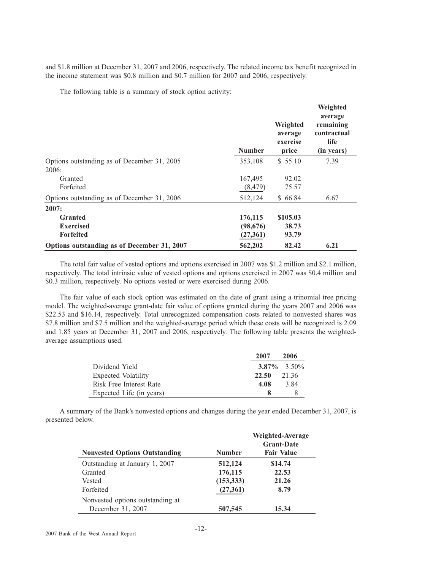and \$1.8 million at December 31, 2007 and 2006, respectively. The related income tax benefit recognized in the income statement was \$0.8 million and \$0.7 million for 2007 and 2006, respectively.

The following table is a summary of stock option activity:

|                                             | <b>Number</b> | Weighted<br>average<br>exercise<br>price | Weighted<br>average<br>remaining<br>contractual<br>life<br>(in years) |
|---------------------------------------------|---------------|------------------------------------------|-----------------------------------------------------------------------|
| Options outstanding as of December 31, 2005 | 353,108       | \$55.10                                  | 7.39                                                                  |
| 2006:                                       |               |                                          |                                                                       |
| Granted                                     | 167,495       | 92.02                                    |                                                                       |
| Forfeited                                   | (8, 479)      | 75.57                                    |                                                                       |
| Options outstanding as of December 31, 2006 | 512,124       | \$66.84                                  | 6.67                                                                  |
| 2007:                                       |               |                                          |                                                                       |
| <b>Granted</b>                              | 176,115       | \$105.03                                 |                                                                       |
| <b>Exercised</b>                            | (98, 676)     | 38.73                                    |                                                                       |
| <b>Forfeited</b>                            | (27,361)      | 93.79                                    |                                                                       |
| Options outstanding as of December 31, 2007 | 562,202       | 82.42                                    | 6.21                                                                  |

The total fair value of vested options and options exercised in 2007 was \$1.2 million and \$2.1 million, respectively. The total intrinsic value of vested options and options exercised in 2007 was \$0.4 million and \$0.3 million, respectively. No options vested or were exercised during 2006.

The fair value of each stock option was estimated on the date of grant using a trinomial tree pricing model. The weighted-average grant-date fair value of options granted during the years 2007 and 2006 was \$22.53 and \$16.14, respectively. Total unrecognized compensation costs related to nonvested shares was \$7.8 million and \$7.5 million and the weighted-average period which these costs will be recognized is 2.09 and 1.85 years at December 31, 2007 and 2006, respectively. The following table presents the weightedaverage assumptions used.

|                            | 2007  | 2006              |
|----------------------------|-------|-------------------|
| Dividend Yield             |       | $3.87\%$ $3.50\%$ |
| <b>Expected Volatility</b> | 22.50 | 21.36             |
| Risk Free Interest Rate    | 4.08  | 3.84              |
| Expected Life (in years)   |       |                   |

A summary of the Bank's nonvested options and changes during the year ended December 31, 2007, is presented below.

| <b>Nonvested Options Outstanding</b> | <b>Number</b> | Weighted-Average<br><b>Grant-Date</b><br><b>Fair Value</b> |
|--------------------------------------|---------------|------------------------------------------------------------|
| Outstanding at January 1, 2007       | 512,124       | \$14.74                                                    |
| Granted                              | 176,115       | 22.53                                                      |
| Vested                               | (153, 333)    | 21.26                                                      |
| Forfeited                            | (27,361)      | 8.79                                                       |
| Nonvested options outstanding at     |               |                                                            |
| December 31, 2007                    | 507,545       | 15.34                                                      |

2007 Bank of the West Annual Report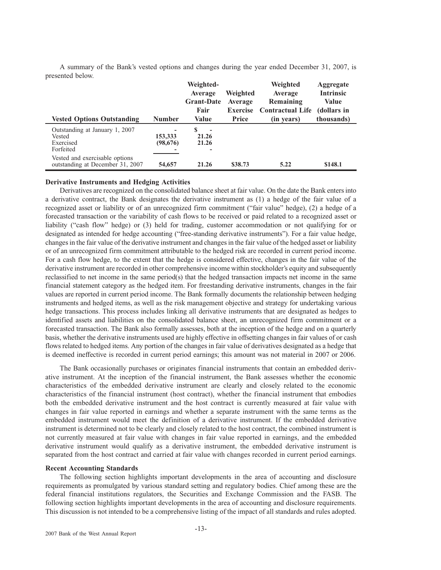| <b>Vested Options Outstanding</b>                                                                                                        | Number                              | Weighted-<br>Average<br><b>Grant-Date</b><br>Fair<br>Value | Weighted<br>Average<br><b>Exercise</b><br>Price | Weighted<br>Average<br>Remaining<br><b>Contractual Life</b><br>(in years) | Aggregate<br><b>Intrinsic</b><br>Value<br>(dollars in<br>thousands) |
|------------------------------------------------------------------------------------------------------------------------------------------|-------------------------------------|------------------------------------------------------------|-------------------------------------------------|---------------------------------------------------------------------------|---------------------------------------------------------------------|
| Outstanding at January 1, 2007<br>Vested<br>Exercised<br>Forfeited<br>Vested and exercisable options<br>outstanding at December 31, 2007 | -<br>153,333<br>(98, 676)<br>54,657 | S<br>٠<br>21.26<br>21.26<br>-<br>21.26                     | \$38.73                                         | 5.22                                                                      | \$148.1                                                             |

A summary of the Bank's vested options and changes during the year ended December 31, 2007, is presented below.

## **Derivative Instruments and Hedging Activities**

Derivatives are recognized on the consolidated balance sheet at fair value. On the date the Bank enters into a derivative contract, the Bank designates the derivative instrument as (1) a hedge of the fair value of a recognized asset or liability or of an unrecognized firm commitment ("fair value" hedge), (2) a hedge of a forecasted transaction or the variability of cash flows to be received or paid related to a recognized asset or liability ("cash flow" hedge) or (3) held for trading, customer accommodation or not qualifying for or designated as intended for hedge accounting ("free-standing derivative instruments"). For a fair value hedge, changes in the fair value of the derivative instrument and changes in the fair value of the hedged asset or liability or of an unrecognized firm commitment attributable to the hedged risk are recorded in current period income. For a cash flow hedge, to the extent that the hedge is considered effective, changes in the fair value of the derivative instrument are recorded in other comprehensive income within stockholder's equity and subsequently reclassified to net income in the same period(s) that the hedged transaction impacts net income in the same financial statement category as the hedged item. For freestanding derivative instruments, changes in the fair values are reported in current period income. The Bank formally documents the relationship between hedging instruments and hedged items, as well as the risk management objective and strategy for undertaking various hedge transactions. This process includes linking all derivative instruments that are designated as hedges to identified assets and liabilities on the consolidated balance sheet, an unrecognized firm commitment or a forecasted transaction. The Bank also formally assesses, both at the inception of the hedge and on a quarterly basis, whether the derivative instruments used are highly effective in offsetting changes in fair values of or cash flows related to hedged items. Any portion of the changes in fair value of derivatives designated as a hedge that is deemed ineffective is recorded in current period earnings; this amount was not material in 2007 or 2006.

The Bank occasionally purchases or originates financial instruments that contain an embedded derivative instrument. At the inception of the financial instrument, the Bank assesses whether the economic characteristics of the embedded derivative instrument are clearly and closely related to the economic characteristics of the financial instrument (host contract), whether the financial instrument that embodies both the embedded derivative instrument and the host contract is currently measured at fair value with changes in fair value reported in earnings and whether a separate instrument with the same terms as the embedded instrument would meet the definition of a derivative instrument. If the embedded derivative instrument is determined not to be clearly and closely related to the host contract, the combined instrument is not currently measured at fair value with changes in fair value reported in earnings, and the embedded derivative instrument would qualify as a derivative instrument, the embedded derivative instrument is separated from the host contract and carried at fair value with changes recorded in current period earnings.

#### **Recent Accounting Standards**

The following section highlights important developments in the area of accounting and disclosure requirements as promulgated by various standard setting and regulatory bodies. Chief among these are the federal financial institutions regulators, the Securities and Exchange Commission and the FASB. The following section highlights important developments in the area of accounting and disclosure requirements. This discussion is not intended to be a comprehensive listing of the impact of all standards and rules adopted.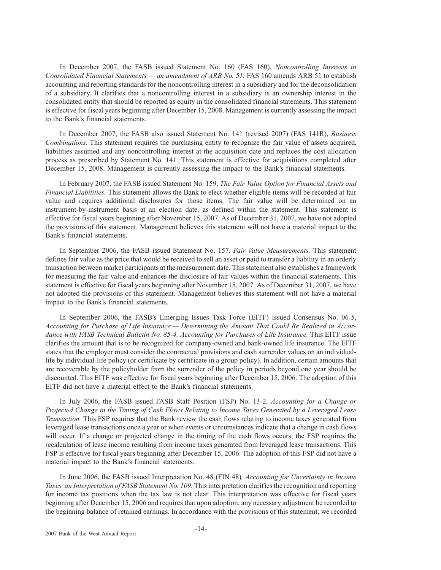In December 2007, the FASB issued Statement No. 160 (FAS 160), *Noncontrolling Interests in Consolidated Financial Statements — an amendment of ARB No. 51.* FAS 160 amends ARB 51 to establish accounting and reporting standards for the noncontrolling interest in a subsidiary and for the deconsolidation of a subsidiary. It clarifies that a noncontrolling interest in a subsidiary is an ownership interest in the consolidated entity that should be reported as equity in the consolidated financial statements. This statement is effective for fiscal years beginning after December 15, 2008. Management is currently assessing the impact to the Bank's financial statements.

In December 2007, the FASB also issued Statement No. 141 (revised 2007) (FAS 141R), *Business Combinations.* This statement requires the purchasing entity to recognize the fair value of assets acquired, liabilities assumed and any noncontrolling interest at the acquisition date and replaces the cost allocation process as prescribed by Statement No. 141. This statement is effective for acquisitions completed after December 15, 2008. Management is currently assessing the impact to the Bank's financial statements.

In February 2007, the FASB issued Statement No. 159, *The Fair Value Option for Financial Assets and Financial Liabilities.* This statement allows the Bank to elect whether eligible items will be recorded at fair value and requires additional disclosures for those items. The fair value will be determined on an instrument-by-instrument basis at an election date, as defined within the statement. This statement is effective for fiscal years beginning after November 15, 2007. As of December 31, 2007, we have not adopted the provisions of this statement. Management believes this statement will not have a material impact to the Bank's financial statements.

In September 2006, the FASB issued Statement No. 157*, Fair Value Measurements.* This statement defines fair value as the price that would be received to sell an asset or paid to transfer a liability in an orderly transaction between market participants at the measurement date. This statement also establishes a framework for measuring the fair value and enhances the disclosure of fair values within the financial statements. This statement is effective for fiscal years beginning after November 15, 2007. As of December 31, 2007, we have not adopted the provisions of this statement. Management believes this statement will not have a material impact to the Bank's financial statements.

In September 2006, the FASB's Emerging Issues Task Force (EITF) issued Consensus No. 06-5, *Accounting for Purchase of Life Insurance — Determining the Amount That Could Be Realized in Accordance with FASB Technical Bulletin No. 85-4, Accounting for Purchases of Life Insurance.* This EITF issue clarifies the amount that is to be recognized for company-owned and bank-owned life insurance. The EITF states that the employer must consider the contractual provisions and cash surrender values on an individuallife by individual-life policy (or certificate by certificate in a group policy). In addition, certain amounts that are recoverable by the policyholder from the surrender of the policy in periods beyond one year should be discounted. This EITF was effective for fiscal years beginning after December 15, 2006. The adoption of this EITF did not have a material effect to the Bank's financial statements.

In July 2006, the FASB issued FASB Staff Position (FSP) No. 13-2*, Accounting for a Change or Projected Change in the Timing of Cash Flows Relating to Income Taxes Generated by a Leveraged Lease Transaction.* This FSP requires that the Bank review the cash flows relating to income taxes generated from leveraged lease transactions once a year or when events or circumstances indicate that a change in cash flows will occur. If a change or projected change in the timing of the cash flows occurs, the FSP requires the recalculation of lease income resulting from income taxes generated from leveraged lease transactions. This FSP is effective for fiscal years beginning after December 15, 2006. The adoption of this FSP did not have a material impact to the Bank's financial statements.

In June 2006, the FASB issued Interpretation No. 48 (FIN 48)*, Accounting for Uncertainty in Income Taxes, an Interpretation of FASB Statement No. 109.* This interpretation clarifies the recognition and reporting for income tax positions when the tax law is not clear. This interpretation was effective for fiscal years beginning after December 15, 2006 and requires that upon adoption, any necessary adjustment be recorded to the beginning balance of retained earnings. In accordance with the provisions of this statement, we recorded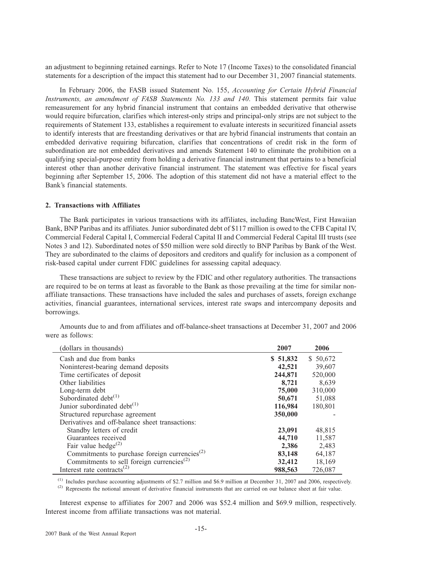an adjustment to beginning retained earnings. Refer to Note 17 (Income Taxes) to the consolidated financial statements for a description of the impact this statement had to our December 31, 2007 financial statements.

In February 2006, the FASB issued Statement No. 155, *Accounting for Certain Hybrid Financial Instruments, an amendment of FASB Statements No. 133 and 140*. This statement permits fair value remeasurement for any hybrid financial instrument that contains an embedded derivative that otherwise would require bifurcation, clarifies which interest-only strips and principal-only strips are not subject to the requirements of Statement 133, establishes a requirement to evaluate interests in securitized financial assets to identify interests that are freestanding derivatives or that are hybrid financial instruments that contain an embedded derivative requiring bifurcation, clarifies that concentrations of credit risk in the form of subordination are not embedded derivatives and amends Statement 140 to eliminate the prohibition on a qualifying special-purpose entity from holding a derivative financial instrument that pertains to a beneficial interest other than another derivative financial instrument. The statement was effective for fiscal years beginning after September 15, 2006. The adoption of this statement did not have a material effect to the Bank's financial statements.

## **2. Transactions with Affiliates**

The Bank participates in various transactions with its affiliates, including BancWest, First Hawaiian Bank, BNP Paribas and its affiliates. Junior subordinated debt of \$117 million is owed to the CFB Capital IV, Commercial Federal Capital I, Commercial Federal Capital II and Commercial Federal Capital III trusts (see Notes 3 and 12). Subordinated notes of \$50 million were sold directly to BNP Paribas by Bank of the West. They are subordinated to the claims of depositors and creditors and qualify for inclusion as a component of risk-based capital under current FDIC guidelines for assessing capital adequacy.

These transactions are subject to review by the FDIC and other regulatory authorities. The transactions are required to be on terms at least as favorable to the Bank as those prevailing at the time for similar nonaffiliate transactions. These transactions have included the sales and purchases of assets, foreign exchange activities, financial guarantees, international services, interest rate swaps and intercompany deposits and borrowings.

| (dollars in thousands)                                    | 2007     | 2006      |
|-----------------------------------------------------------|----------|-----------|
| Cash and due from banks                                   | \$51,832 | \$ 50,672 |
| Noninterest-bearing demand deposits                       | 42,521   | 39,607    |
| Time certificates of deposit                              | 244,871  | 520,000   |
| Other liabilities                                         | 8,721    | 8,639     |
| Long-term debt                                            | 75,000   | 310,000   |
| Subordinated debt $(1)$                                   | 50,671   | 51,088    |
| Junior subordinated debt <sup>(1)</sup>                   | 116,984  | 180,801   |
| Structured repurchase agreement                           | 350,000  |           |
| Derivatives and off-balance sheet transactions:           |          |           |
| Standby letters of credit                                 | 23,091   | 48,815    |
| Guarantees received                                       | 44,710   | 11,587    |
| Fair value hedge <sup><math>(2)</math></sup>              | 2,386    | 2,483     |
| Commitments to purchase foreign currencies <sup>(2)</sup> | 83,148   | 64,187    |
| Commitments to sell foreign currencies <sup>(2)</sup>     | 32,412   | 18,169    |
| Interest rate contracts <sup>(2)</sup>                    | 988,563  | 726,087   |

Amounts due to and from affiliates and off-balance-sheet transactions at December 31, 2007 and 2006 were as follows:

(1) Includes purchase accounting adjustments of \$2.7 million and \$6.9 million at December 31, 2007 and 2006, respectively.

(2) Represents the notional amount of derivative financial instruments that are carried on our balance sheet at fair value.

Interest expense to affiliates for 2007 and 2006 was \$52.4 million and \$69.9 million, respectively. Interest income from affiliate transactions was not material.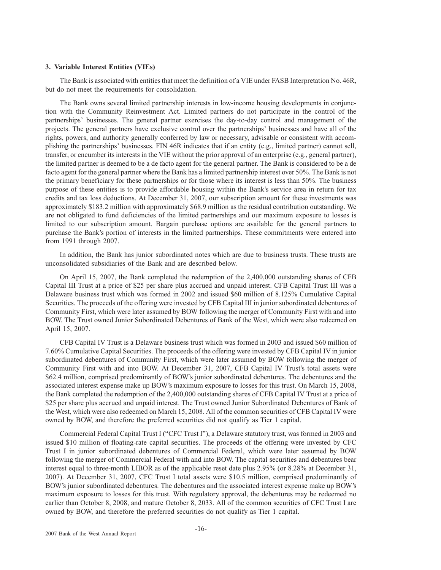## **3. Variable Interest Entities (VIEs)**

The Bank is associated with entities that meet the definition of a VIE under FASB Interpretation No. 46R, but do not meet the requirements for consolidation.

The Bank owns several limited partnership interests in low-income housing developments in conjunction with the Community Reinvestment Act. Limited partners do not participate in the control of the partnerships' businesses. The general partner exercises the day-to-day control and management of the projects. The general partners have exclusive control over the partnerships' businesses and have all of the rights, powers, and authority generally conferred by law or necessary, advisable or consistent with accomplishing the partnerships' businesses. FIN 46R indicates that if an entity (e.g., limited partner) cannot sell, transfer, or encumber its interests in the VIE without the prior approval of an enterprise (e.g., general partner), the limited partner is deemed to be a de facto agent for the general partner. The Bank is considered to be a de facto agent for the general partner where the Bank has a limited partnership interest over 50%. The Bank is not the primary beneficiary for these partnerships or for those where its interest is less than 50%. The business purpose of these entities is to provide affordable housing within the Bank's service area in return for tax credits and tax loss deductions. At December 31, 2007, our subscription amount for these investments was approximately \$183.2 million with approximately \$68.9 million as the residual contribution outstanding. We are not obligated to fund deficiencies of the limited partnerships and our maximum exposure to losses is limited to our subscription amount. Bargain purchase options are available for the general partners to purchase the Bank's portion of interests in the limited partnerships. These commitments were entered into from 1991 through 2007.

In addition, the Bank has junior subordinated notes which are due to business trusts. These trusts are unconsolidated subsidiaries of the Bank and are described below.

On April 15, 2007, the Bank completed the redemption of the 2,400,000 outstanding shares of CFB Capital III Trust at a price of \$25 per share plus accrued and unpaid interest. CFB Capital Trust III was a Delaware business trust which was formed in 2002 and issued \$60 million of 8.125% Cumulative Capital Securities. The proceeds of the offering were invested by CFB Capital III in junior subordinated debentures of Community First, which were later assumed by BOW following the merger of Community First with and into BOW. The Trust owned Junior Subordinated Debentures of Bank of the West, which were also redeemed on April 15, 2007.

CFB Capital IV Trust is a Delaware business trust which was formed in 2003 and issued \$60 million of 7.60% Cumulative Capital Securities. The proceeds of the offering were invested by CFB Capital IV in junior subordinated debentures of Community First, which were later assumed by BOW following the merger of Community First with and into BOW. At December 31, 2007, CFB Capital IV Trust's total assets were \$62.4 million, comprised predominantly of BOW's junior subordinated debentures. The debentures and the associated interest expense make up BOW's maximum exposure to losses for this trust. On March 15, 2008, the Bank completed the redemption of the 2,400,000 outstanding shares of CFB Capital IV Trust at a price of \$25 per share plus accrued and unpaid interest. The Trust owned Junior Subordinated Debentures of Bank of the West, which were also redeemed on March 15, 2008. All of the common securities of CFB Capital IV were owned by BOW, and therefore the preferred securities did not qualify as Tier 1 capital.

Commercial Federal Capital Trust I ("CFC Trust I"), a Delaware statutory trust, was formed in 2003 and issued \$10 million of floating-rate capital securities. The proceeds of the offering were invested by CFC Trust I in junior subordinated debentures of Commercial Federal, which were later assumed by BOW following the merger of Commercial Federal with and into BOW. The capital securities and debentures bear interest equal to three-month LIBOR as of the applicable reset date plus 2.95% (or 8.28% at December 31, 2007). At December 31, 2007, CFC Trust I total assets were \$10.5 million, comprised predominantly of BOW's junior subordinated debentures. The debentures and the associated interest expense make up BOW's maximum exposure to losses for this trust. With regulatory approval, the debentures may be redeemed no earlier than October 8, 2008, and mature October 8, 2033. All of the common securities of CFC Trust I are owned by BOW, and therefore the preferred securities do not qualify as Tier 1 capital.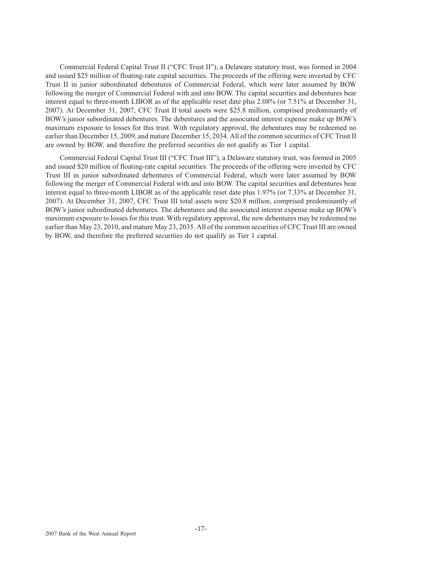Commercial Federal Capital Trust II ("CFC Trust II"), a Delaware statutory trust, was formed in 2004 and issued \$25 million of floating-rate capital securities. The proceeds of the offering were invested by CFC Trust II in junior subordinated debentures of Commercial Federal, which were later assumed by BOW following the merger of Commercial Federal with and into BOW. The capital securities and debentures bear interest equal to three-month LIBOR as of the applicable reset date plus 2.08% (or 7.51% at December 31, 2007). At December 31, 2007, CFC Trust II total assets were \$25.8 million, comprised predominantly of BOW's junior subordinated debentures. The debentures and the associated interest expense make up BOW's maximum exposure to losses for this trust. With regulatory approval, the debentures may be redeemed no earlier than December 15, 2009, and mature December 15, 2034. All of the common securities of CFC Trust II are owned by BOW, and therefore the preferred securities do not qualify as Tier 1 capital.

Commercial Federal Capital Trust III ("CFC Trust III"), a Delaware statutory trust, was formed in 2005 and issued \$20 million of floating-rate capital securities. The proceeds of the offering were invested by CFC Trust III in junior subordinated debentures of Commercial Federal, which were later assumed by BOW following the merger of Commercial Federal with and into BOW. The capital securities and debentures bear interest equal to three-month LIBOR as of the applicable reset date plus 1.97% (or 7.33% at December 31, 2007). At December 31, 2007, CFC Trust III total assets were \$20.8 million, comprised predominantly of BOW's junior subordinated debentures. The debentures and the associated interest expense make up BOW's maximum exposure to losses for this trust. With regulatory approval, the new debentures may be redeemed no earlier than May 23, 2010, and mature May 23, 2035. All of the common securities of CFC Trust III are owned by BOW, and therefore the preferred securities do not qualify as Tier 1 capital.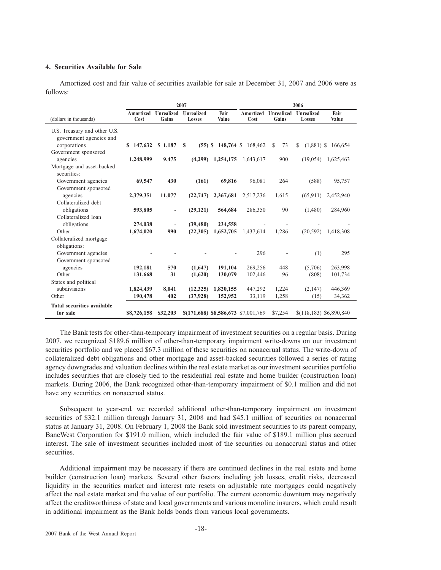## **4. Securities Available for Sale**

Amortized cost and fair value of securities available for sale at December 31, 2007 and 2006 were as follows:

|                                                         | 2007              |                            |                      |                                     | 2006              |                     |                           |               |
|---------------------------------------------------------|-------------------|----------------------------|----------------------|-------------------------------------|-------------------|---------------------|---------------------------|---------------|
| (dollars in thousands)                                  | Amortized<br>Cost | <b>Unrealized</b><br>Gains | Unrealized<br>Losses | Fair<br>Value                       | Amortized<br>Cost | Unrealized<br>Gains | Unrealized<br>Losses      | Fair<br>Value |
| U.S. Treasury and other U.S.<br>government agencies and |                   |                            |                      |                                     |                   |                     |                           |               |
| corporations                                            | \$147,632         | \$1,187                    | S                    | $(55)$ \$ 148,764 \$                | 168,462           | S<br>73             | S<br>$(1,881)$ \$         | 166,654       |
| Government sponsored<br>agencies                        | 1,248,999         | 9,475                      | (4,299)              | 1,254,175                           | 1,643,617         | 900                 | (19,054)                  | 1,625,463     |
| Mortgage and asset-backed                               |                   |                            |                      |                                     |                   |                     |                           |               |
| securities:                                             |                   |                            |                      |                                     |                   |                     |                           |               |
| Government agencies                                     | 69,547            | 430                        | (161)                | 69.816                              | 96.081            | 264                 | (588)                     | 95,757        |
| Government sponsored                                    |                   |                            |                      |                                     |                   |                     |                           |               |
| agencies                                                | 2,379,351         | 11,077                     | (22, 747)            | 2,367,681                           | 2,517,236         | 1,615               | (65, 911)                 | 2,452,940     |
| Collateralized debt                                     |                   |                            |                      |                                     |                   |                     |                           |               |
| obligations<br>Collateralized loan                      | 593,805           | $\overline{\phantom{a}}$   | (29, 121)            | 564,684                             | 286,350           | 90                  | (1,480)                   | 284,960       |
| obligations                                             | 274,038           | ÷                          | (39, 480)            | 234,558                             |                   |                     |                           |               |
| Other                                                   | 1,674,020         | 990                        | (22,305)             | 1,652,705                           | 1,437,614         | 1,286               | (20, 592)                 | 1,418,308     |
| Collateralized mortgage                                 |                   |                            |                      |                                     |                   |                     |                           |               |
| obligations:                                            |                   |                            |                      |                                     |                   |                     |                           |               |
| Government agencies                                     |                   |                            |                      |                                     | 296               |                     | (1)                       | 295           |
| Government sponsored                                    |                   |                            |                      |                                     |                   |                     |                           |               |
| agencies                                                | 192,181           | 570                        | (1,647)              | 191,104                             | 269,256           | 448                 | (5,706)                   | 263,998       |
| Other                                                   | 131,668           | 31                         | (1,620)              | 130,079                             | 102,446           | 96                  | (808)                     | 101,734       |
| States and political                                    |                   |                            |                      |                                     |                   |                     |                           |               |
| subdivisions                                            | 1,824,439         | 8,041                      | (12,325)             | 1,820,155                           | 447,292           | 1,224               | (2,147)                   | 446,369       |
| Other                                                   | 190,478           | 402                        | (37, 928)            | 152,952                             | 33,119            | 1,258               | (15)                      | 34,362        |
| <b>Total securities available</b>                       |                   |                            |                      |                                     |                   |                     |                           |               |
| for sale                                                | \$8,726,158       | \$32,203                   |                      | \$(171,688) \$8,586,673 \$7,001,769 |                   | \$7,254             | $$(118, 183)$ \$6,890,840 |               |

The Bank tests for other-than-temporary impairment of investment securities on a regular basis. During 2007, we recognized \$189.6 million of other-than-temporary impairment write-downs on our investment securities portfolio and we placed \$67.3 million of these securities on nonaccrual status. The write-down of collateralized debt obligations and other mortgage and asset-backed securities followed a series of rating agency downgrades and valuation declines within the real estate market as our investment securities portfolio includes securities that are closely tied to the residential real estate and home builder (construction loan) markets. During 2006, the Bank recognized other-than-temporary impairment of \$0.1 million and did not have any securities on nonaccrual status.

Subsequent to year-end, we recorded additional other-than-temporary impairment on investment securities of \$32.1 million through January 31, 2008 and had \$45.1 million of securities on nonaccrual status at January 31, 2008. On February 1, 2008 the Bank sold investment securities to its parent company, BancWest Corporation for \$191.0 million, which included the fair value of \$189.1 million plus accrued interest. The sale of investment securities included most of the securities on nonaccrual status and other securities.

Additional impairment may be necessary if there are continued declines in the real estate and home builder (construction loan) markets. Several other factors including job losses, credit risks, decreased liquidity in the securities market and interest rate resets on adjustable rate mortgages could negatively affect the real estate market and the value of our portfolio. The current economic downturn may negatively affect the creditworthiness of state and local governments and various monoline insurers, which could result in additional impairment as the Bank holds bonds from various local governments.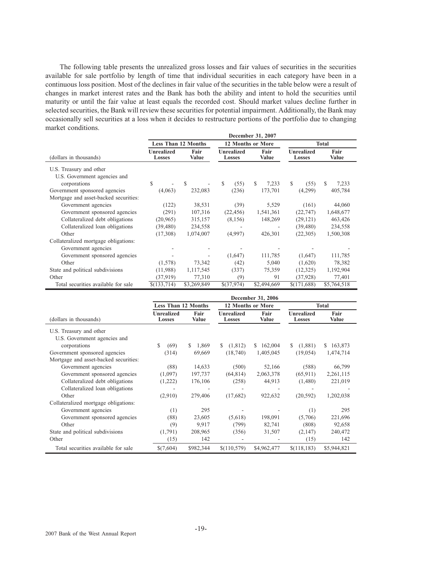The following table presents the unrealized gross losses and fair values of securities in the securities available for sale portfolio by length of time that individual securities in each category have been in a continuous loss position. Most of the declines in fair value of the securities in the table below were a result of changes in market interest rates and the Bank has both the ability and intent to hold the securities until maturity or until the fair value at least equals the recorded cost. Should market values decline further in selected securities, the Bank will review these securities for potential impairment. Additionally, the Bank may occasionally sell securities at a loss when it decides to restructure portions of the portfolio due to changing market conditions.

|                                       | December 31, 2007                                   |                            |                             |                          |                             |               |  |  |  |
|---------------------------------------|-----------------------------------------------------|----------------------------|-----------------------------|--------------------------|-----------------------------|---------------|--|--|--|
|                                       |                                                     | <b>Less Than 12 Months</b> |                             | <b>12 Months or More</b> |                             | <b>Total</b>  |  |  |  |
| (dollars in thousands)                | <b>Unrealized</b><br>Fair<br>Value<br><b>Losses</b> |                            | Unrealized<br><b>Losses</b> | Fair<br><b>Value</b>     | <b>Unrealized</b><br>Losses | Fair<br>Value |  |  |  |
| U.S. Treasury and other               |                                                     |                            |                             |                          |                             |               |  |  |  |
| U.S. Government agencies and          |                                                     |                            |                             |                          |                             |               |  |  |  |
| corporations                          | \$                                                  | \$.                        | $\mathbb{S}$<br>(55)        | \$<br>7,233              | S.<br>(55)                  | 7,233<br>S    |  |  |  |
| Government sponsored agencies         | (4,063)                                             | 232,083                    | (236)                       | 173,701                  | (4,299)                     | 405,784       |  |  |  |
| Mortgage and asset-backed securities: |                                                     |                            |                             |                          |                             |               |  |  |  |
| Government agencies                   | (122)                                               | 38,531                     | (39)                        | 5,529                    | (161)                       | 44,060        |  |  |  |
| Government sponsored agencies         | (291)                                               | 107,316                    | (22, 456)                   | 1,541,361                | (22, 747)                   | 1,648,677     |  |  |  |
| Collateralized debt obligations       | (20, 965)                                           | 315,157                    | (8,156)                     | 148,269                  | (29, 121)                   | 463,426       |  |  |  |
| Collateralized loan obligations       | (39, 480)                                           | 234,558                    |                             |                          | (39, 480)                   | 234,558       |  |  |  |
| Other                                 | (17,308)                                            | 1,074,007                  | (4,997)                     | 426,301                  | (22, 305)                   | 1,500,308     |  |  |  |
| Collateralized mortgage obligations:  |                                                     |                            |                             |                          |                             |               |  |  |  |
| Government agencies                   |                                                     |                            |                             |                          |                             |               |  |  |  |
| Government sponsored agencies         |                                                     |                            | (1,647)                     | 111,785                  | (1,647)                     | 111,785       |  |  |  |
| Other                                 | (1,578)                                             | 73,342                     | (42)                        | 5,040                    | (1,620)                     | 78,382        |  |  |  |
| State and political subdivisions      | (11,988)                                            | 1,117,545                  | (337)                       | 75,359                   | (12, 325)                   | 1,192,904     |  |  |  |
| Other                                 | (37, 919)                                           | 77,310                     | (9)                         | 91                       | (37, 928)                   | 77,401        |  |  |  |
| Total securities available for sale   | \$(133,714)                                         | \$3,269,849                | \$(37,974)                  | \$2,494,669              | \$(171,688)                 | \$5,764,518   |  |  |  |

|                                                         | December 31, 2006           |               |                      |               |                             |               |  |
|---------------------------------------------------------|-----------------------------|---------------|----------------------|---------------|-----------------------------|---------------|--|
|                                                         | <b>Less Than 12 Months</b>  |               | 12 Months or More    | <b>Total</b>  |                             |               |  |
| (dollars in thousands)                                  | <b>Unrealized</b><br>Losses | Fair<br>Value | Unrealized<br>Losses | Fair<br>Value | <b>Unrealized</b><br>Losses | Fair<br>Value |  |
| U.S. Treasury and other<br>U.S. Government agencies and |                             |               |                      |               |                             |               |  |
| corporations                                            | \$<br>(69)                  | 1,869<br>S.   | (1,812)<br>S.        | 162,004<br>S. | (1,881)<br>S.               | 163,873<br>S. |  |
| Government sponsored agencies                           | (314)                       | 69,669        | (18,740)             | 1,405,045     | (19,054)                    | 1,474,714     |  |
| Mortgage and asset-backed securities:                   |                             |               |                      |               |                             |               |  |
| Government agencies                                     | (88)                        | 14,633        | (500)                | 52,166        | (588)                       | 66,799        |  |
| Government sponsored agencies                           | (1,097)                     | 197,737       | (64, 814)            | 2,063,378     | (65, 911)                   | 2,261,115     |  |
| Collateralized debt obligations                         | (1,222)                     | 176,106       | (258)                | 44,913        | (1,480)                     | 221,019       |  |
| Collateralized loan obligations                         | ۰                           |               |                      |               |                             |               |  |
| Other                                                   | (2,910)                     | 279,406       | (17,682)             | 922,632       | (20, 592)                   | 1,202,038     |  |
| Collateralized mortgage obligations:                    |                             |               |                      |               |                             |               |  |
| Government agencies                                     | (1)                         | 295           |                      |               | (1)                         | 295           |  |
| Government sponsored agencies                           | (88)                        | 23,605        | (5,618)              | 198,091       | (5,706)                     | 221,696       |  |
| Other                                                   | (9)                         | 9,917         | (799)                | 82,741        | (808)                       | 92,658        |  |
| State and political subdivisions                        | (1,791)                     | 208,965       | (356)                | 31,507        | (2,147)                     | 240,472       |  |
| Other                                                   | (15)                        | 142           |                      |               | (15)                        | 142           |  |
| Total securities available for sale                     | \$(7,604)                   | \$982,344     | \$(110, 579)         | \$4,962,477   | \$(118, 183)                | \$5,944,821   |  |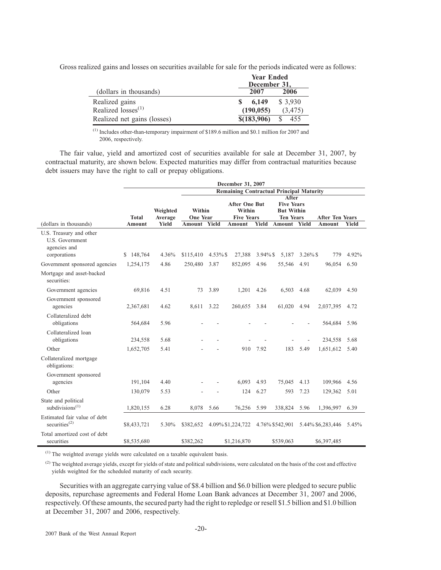Gross realized gains and losses on securities available for sale for the periods indicated were as follows:

|                             | <b>Year Ended</b> |          |  |
|-----------------------------|-------------------|----------|--|
|                             | December 31,      |          |  |
| (dollars in thousands)      | 2007              | 2006     |  |
| Realized gains              | 6.149             | \$ 3,930 |  |
| Realized losses $^{(1)}$    | (190, 055)        | (3, 475) |  |
| Realized net gains (losses) | \$(183,906)       | 455      |  |

 $<sup>(1)</sup>$  Includes other-than-temporary impairment of \$189.6 million and \$0.1 million for 2007 and</sup> 2006, respectively.

The fair value, yield and amortized cost of securities available for sale at December 31, 2007, by contractual maturity, are shown below. Expected maturities may differ from contractual maturities because debt issuers may have the right to call or prepay obligations.

|                                                                            | December 31, 2007 |                                                 |                           |             |                                                     |             |                                                                     |             |                        |       |
|----------------------------------------------------------------------------|-------------------|-------------------------------------------------|---------------------------|-------------|-----------------------------------------------------|-------------|---------------------------------------------------------------------|-------------|------------------------|-------|
|                                                                            |                   | <b>Remaining Contractual Principal Maturity</b> |                           |             |                                                     |             |                                                                     |             |                        |       |
|                                                                            | <b>Total</b>      | Weighted<br>Average                             | Within<br><b>One Year</b> |             | <b>After One But</b><br>Within<br><b>Five Years</b> |             | After<br><b>Five Years</b><br><b>But Within</b><br><b>Ten Years</b> |             | <b>After Ten Years</b> |       |
| (dollars in thousands)                                                     | Amount            | Yield                                           | Amount                    | Yield       | Amount                                              | Yield       | Amount Yield                                                        |             | <b>Amount</b>          | Yield |
| U.S. Treasury and other<br>U.S. Government<br>agencies and<br>corporations | \$148,764         | 4.36%                                           | \$115,410                 | $4.53\%$ \$ | 27,388                                              | $3.94\%$ \$ | 5,187                                                               | $3.26\%$ \$ | 779                    | 4.92% |
| Government sponsored agencies                                              | 1,254,175         | 4.86                                            | 250,480                   | 3.87        | 852,095                                             | 4.96        | 55,546                                                              | 4.91        | 96,054                 | 6.50  |
| Mortgage and asset-backed<br>securities:                                   |                   |                                                 |                           |             |                                                     |             |                                                                     |             |                        |       |
| Government agencies                                                        | 69,816            | 4.51                                            | 73                        | 3.89        | 1,201                                               | 4.26        | 6,503                                                               | 4.68        | 62,039                 | 4.50  |
| Government sponsored<br>agencies                                           | 2,367,681         | 4.62                                            | 8.611                     | 3.22        | 260,655                                             | 3.84        | 61,020                                                              | 4.94        | 2,037,395 4.72         |       |
| Collateralized debt<br>obligations                                         | 564,684           | 5.96                                            |                           |             |                                                     |             |                                                                     |             | 564,684                | 5.96  |
| Collateralized loan<br>obligations                                         | 234,558           | 5.68                                            |                           |             |                                                     |             |                                                                     |             | 234,558                | 5.68  |
| Other                                                                      | 1,652,705         | 5.41                                            |                           |             | 910                                                 | 7.92        | 183                                                                 | 5.49        | 1,651,612              | 5.40  |
| Collateralized mortgage<br>obligations:                                    |                   |                                                 |                           |             |                                                     |             |                                                                     |             |                        |       |
| Government sponsored<br>agencies                                           | 191,104           | 4.40                                            |                           |             | 6,093                                               | 4.93        | 75,045                                                              | 4.13        | 109,966                | 4.56  |
| Other                                                                      | 130,079           | 5.53                                            |                           |             | 124                                                 | 6.27        | 593                                                                 | 7.23        | 129,362                | 5.01  |
| State and political<br>subdivisions $(1)$                                  | 1,820,155         | 6.28                                            | 8,078                     | 5.66        | 76,256                                              | 5.99        | 338,824                                                             | 5.96        | 1,396,997              | 6.39  |
| Estimated fair value of debt<br>securities <sup>(2)</sup>                  | \$8,433,721       | 5.30%                                           | \$382,652                 |             | 4.09% \$1,224,722                                   |             | 4.76% \$542,901                                                     |             | 5.44% \$6,283,446      | 5.45% |
| Total amortized cost of debt<br>securities                                 | \$8,535,680       |                                                 | \$382,262                 |             | \$1,216,870                                         |             | \$539,063                                                           |             | \$6,397,485            |       |

 $<sup>(1)</sup>$  The weighted average yields were calculated on a taxable equivalent basis.</sup>

<sup>(2)</sup> The weighted average yields, except for yields of state and political subdivisions, were calculated on the basis of the cost and effective yields weighted for the scheduled maturity of each security.

Securities with an aggregate carrying value of \$8.4 billion and \$6.0 billion were pledged to secure public deposits, repurchase agreements and Federal Home Loan Bank advances at December 31, 2007 and 2006, respectively. Of these amounts, the secured party had the right to repledge or resell \$1.5 billion and \$1.0 billion at December 31, 2007 and 2006, respectively.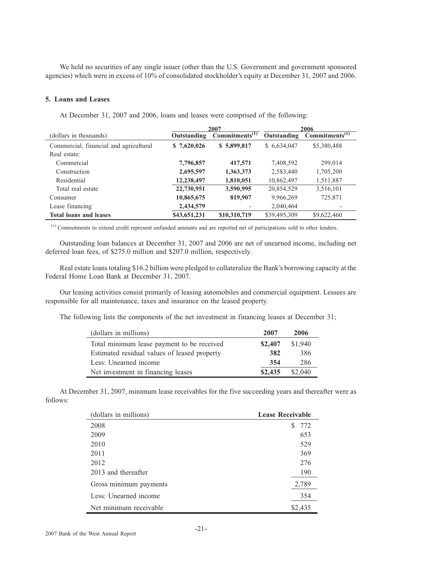We held no securities of any single issuer (other than the U.S. Government and government sponsored agencies) which were in excess of 10% of consolidated stockholder's equity at December 31, 2007 and 2006.

## **5. Loans and Leases**

At December 31, 2007 and 2006, loans and leases were comprised of the following:

|                                        | 2007         |                                 | 2006         |                            |
|----------------------------------------|--------------|---------------------------------|--------------|----------------------------|
| (dollars in thousands)                 | Outstanding  | Commitments $\overline{^{(1)}}$ | Outstanding  | Commitments <sup>(1)</sup> |
| Commercial, financial and agricultural | \$7,620,026  | \$5,899,817                     | \$6,634,047  | \$5,380,488                |
| Real estate:                           |              |                                 |              |                            |
| Commercial                             | 7,796,857    | 417,571                         | 7,408,592    | 299,014                    |
| Construction                           | 2,695,597    | 1,363,373                       | 2,583,440    | 1,705,200                  |
| Residential                            | 12,238,497   | 1,810,051                       | 10,862,497   | 1,511,887                  |
| Total real estate                      | 22,730,951   | 3,590,995                       | 20,854,529   | 3,516,101                  |
| Consumer                               | 10,865,675   | 819,907                         | 9,966,269    | 725,871                    |
| Lease financing                        | 2,434,579    |                                 | 2,040,464    |                            |
| <b>Total loans and leases</b>          | \$43,651,231 | \$10,310,719                    | \$39,495,309 | \$9,622,460                |

(1) Commitments to extend credit represent unfunded amounts and are reported net of participations sold to other lenders.

Outstanding loan balances at December 31, 2007 and 2006 are net of unearned income, including net deferred loan fees, of \$275.0 million and \$207.0 million, respectively.

Real estate loans totaling \$16.2 billion were pledged to collateralize the Bank's borrowing capacity at the Federal Home Loan Bank at December 31, 2007.

Our leasing activities consist primarily of leasing automobiles and commercial equipment. Lessees are responsible for all maintenance, taxes and insurance on the leased property.

The following lists the components of the net investment in financing leases at December 31;

| (dollars in millions)                        | 2007    | 2006    |
|----------------------------------------------|---------|---------|
| Total minimum lease payment to be received   | \$2,407 | \$1,940 |
| Estimated residual values of leased property | 382     | 386     |
| Less: Unearned income                        | 354     | 286     |
| Net investment in financing leases           | \$2,435 | \$2,040 |

At December 31, 2007, minimum lease receivables for the five succeeding years and thereafter were as follows:

| (dollars in millions)  | <b>Lease Receivable</b> |
|------------------------|-------------------------|
| 2008                   | 772<br>S                |
| 2009                   | 653                     |
| 2010                   | 529                     |
| 2011                   | 369                     |
| 2012                   | 276                     |
| 2013 and thereafter    | 190                     |
| Gross minimum payments | 2,789                   |
| Less: Unearned income  | 354                     |
| Net minimum receivable | \$2,435                 |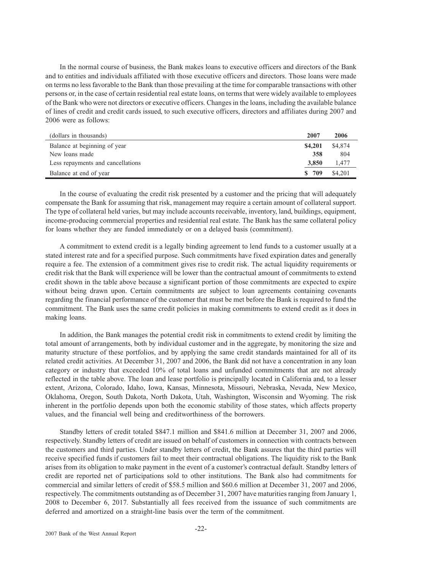In the normal course of business, the Bank makes loans to executive officers and directors of the Bank and to entities and individuals affiliated with those executive officers and directors. Those loans were made on terms no less favorable to the Bank than those prevailing at the time for comparable transactions with other persons or, in the case of certain residential real estate loans, on terms that were widely available to employees of the Bank who were not directors or executive officers. Changes in the loans, including the available balance of lines of credit and credit cards issued, to such executive officers, directors and affiliates during 2007 and 2006 were as follows:

| (dollars in thousands)            | 2007        | 2006    |
|-----------------------------------|-------------|---------|
| Balance at beginning of year      | \$4,201     | \$4,874 |
| New loans made                    | 358         | 804     |
| Less repayments and cancellations | 3.850       | 1.477   |
| Balance at end of year            | 709<br>-SS- | \$4,201 |

In the course of evaluating the credit risk presented by a customer and the pricing that will adequately compensate the Bank for assuming that risk, management may require a certain amount of collateral support. The type of collateral held varies, but may include accounts receivable, inventory, land, buildings, equipment, income-producing commercial properties and residential real estate. The Bank has the same collateral policy for loans whether they are funded immediately or on a delayed basis (commitment).

A commitment to extend credit is a legally binding agreement to lend funds to a customer usually at a stated interest rate and for a specified purpose. Such commitments have fixed expiration dates and generally require a fee. The extension of a commitment gives rise to credit risk. The actual liquidity requirements or credit risk that the Bank will experience will be lower than the contractual amount of commitments to extend credit shown in the table above because a significant portion of those commitments are expected to expire without being drawn upon. Certain commitments are subject to loan agreements containing covenants regarding the financial performance of the customer that must be met before the Bank is required to fund the commitment. The Bank uses the same credit policies in making commitments to extend credit as it does in making loans.

In addition, the Bank manages the potential credit risk in commitments to extend credit by limiting the total amount of arrangements, both by individual customer and in the aggregate, by monitoring the size and maturity structure of these portfolios, and by applying the same credit standards maintained for all of its related credit activities. At December 31, 2007 and 2006, the Bank did not have a concentration in any loan category or industry that exceeded 10% of total loans and unfunded commitments that are not already reflected in the table above. The loan and lease portfolio is principally located in California and, to a lesser extent, Arizona, Colorado, Idaho, Iowa, Kansas, Minnesota, Missouri, Nebraska, Nevada, New Mexico, Oklahoma, Oregon, South Dakota, North Dakota, Utah, Washington, Wisconsin and Wyoming. The risk inherent in the portfolio depends upon both the economic stability of those states, which affects property values, and the financial well being and creditworthiness of the borrowers.

Standby letters of credit totaled \$847.1 million and \$841.6 million at December 31, 2007 and 2006, respectively. Standby letters of credit are issued on behalf of customers in connection with contracts between the customers and third parties. Under standby letters of credit, the Bank assures that the third parties will receive specified funds if customers fail to meet their contractual obligations. The liquidity risk to the Bank arises from its obligation to make payment in the event of a customer's contractual default. Standby letters of credit are reported net of participations sold to other institutions. The Bank also had commitments for commercial and similar letters of credit of \$58.5 million and \$60.6 million at December 31, 2007 and 2006, respectively. The commitments outstanding as of December 31, 2007 have maturities ranging from January 1, 2008 to December 6, 2017. Substantially all fees received from the issuance of such commitments are deferred and amortized on a straight-line basis over the term of the commitment.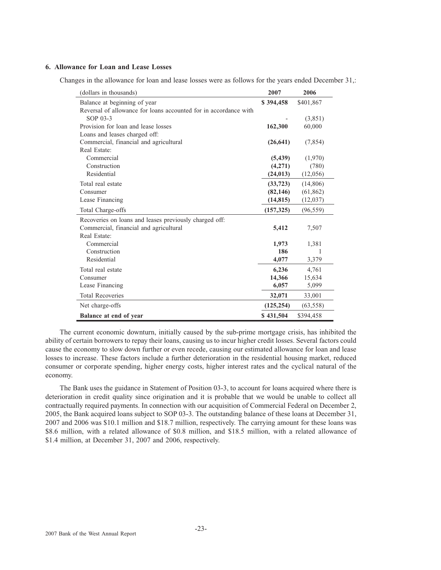## **6. Allowance for Loan and Lease Losses**

Changes in the allowance for loan and lease losses were as follows for the years ended December 31,:

| (dollars in thousands)                                           | 2007       | 2006      |
|------------------------------------------------------------------|------------|-----------|
| Balance at beginning of year                                     | \$394,458  | \$401,867 |
| Reversal of allowance for loans accounted for in accordance with |            |           |
| SOP 03-3                                                         |            | (3,851)   |
| Provision for loan and lease losses                              | 162,300    | 60,000    |
| Loans and leases charged off:                                    |            |           |
| Commercial, financial and agricultural                           | (26, 641)  | (7, 854)  |
| Real Estate:                                                     |            |           |
| Commercial                                                       | (5, 439)   | (1,970)   |
| Construction                                                     | (4,271)    | (780)     |
| Residential                                                      | (24, 013)  | (12,056)  |
| Total real estate                                                | (33, 723)  | (14, 806) |
| Consumer                                                         | (82, 146)  | (61, 862) |
| Lease Financing                                                  | (14, 815)  | (12,037)  |
| Total Charge-offs                                                | (157, 325) | (96, 559) |
| Recoveries on loans and leases previously charged off:           |            |           |
| Commercial, financial and agricultural                           | 5,412      | 7,507     |
| Real Estate:                                                     |            |           |
| Commercial                                                       | 1,973      | 1,381     |
| Construction                                                     | 186        | 1         |
| Residential                                                      | 4,077      | 3,379     |
| Total real estate                                                | 6,236      | 4,761     |
| Consumer                                                         | 14,366     | 15,634    |
| Lease Financing                                                  | 6,057      | 5,099     |
| <b>Total Recoveries</b>                                          | 32,071     | 33,001    |
| Net charge-offs                                                  | (125, 254) | (63, 558) |
| Balance at end of year                                           | \$431,504  | \$394,458 |

The current economic downturn, initially caused by the sub-prime mortgage crisis, has inhibited the ability of certain borrowers to repay their loans, causing us to incur higher credit losses. Several factors could cause the economy to slow down further or even recede, causing our estimated allowance for loan and lease losses to increase. These factors include a further deterioration in the residential housing market, reduced consumer or corporate spending, higher energy costs, higher interest rates and the cyclical natural of the economy.

The Bank uses the guidance in Statement of Position 03-3, to account for loans acquired where there is deterioration in credit quality since origination and it is probable that we would be unable to collect all contractually required payments. In connection with our acquisition of Commercial Federal on December 2, 2005, the Bank acquired loans subject to SOP 03-3. The outstanding balance of these loans at December 31, 2007 and 2006 was \$10.1 million and \$18.7 million, respectively. The carrying amount for these loans was \$8.6 million, with a related allowance of \$0.8 million, and \$18.5 million, with a related allowance of \$1.4 million, at December 31, 2007 and 2006, respectively.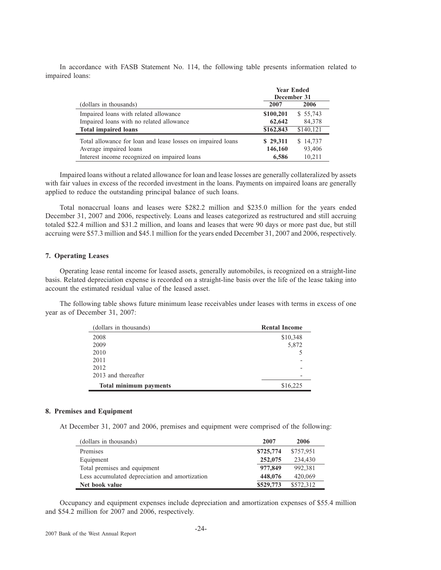In accordance with FASB Statement No. 114, the following table presents information related to impaired loans:

|                                                             | <b>Year Ended</b><br>December 31 |           |  |  |
|-------------------------------------------------------------|----------------------------------|-----------|--|--|
| (dollars in thousands)                                      | 2007                             | 2006      |  |  |
| Impaired loans with related allowance                       | \$100,201                        | \$55,743  |  |  |
| Impaired loans with no related allowance                    | 62,642                           | 84.378    |  |  |
| <b>Total impaired loans</b>                                 | \$162,843                        | \$140,121 |  |  |
| Total allowance for loan and lease losses on impaired loans | \$29,311                         | \$14,737  |  |  |
| Average impaired loans                                      | 146,160                          | 93,406    |  |  |
| Interest income recognized on impaired loans                | 6.586                            | 10.211    |  |  |

Impaired loans without a related allowance for loan and lease losses are generally collateralized by assets with fair values in excess of the recorded investment in the loans. Payments on impaired loans are generally applied to reduce the outstanding principal balance of such loans.

Total nonaccrual loans and leases were \$282.2 million and \$235.0 million for the years ended December 31, 2007 and 2006, respectively. Loans and leases categorized as restructured and still accruing totaled \$22.4 million and \$31.2 million, and loans and leases that were 90 days or more past due, but still accruing were \$57.3 million and \$45.1 million for the years ended December 31, 2007 and 2006, respectively.

## **7. Operating Leases**

Operating lease rental income for leased assets, generally automobiles, is recognized on a straight-line basis. Related depreciation expense is recorded on a straight-line basis over the life of the lease taking into account the estimated residual value of the leased asset.

The following table shows future minimum lease receivables under leases with terms in excess of one year as of December 31, 2007:

| (dollars in thousands)        | <b>Rental Income</b> |
|-------------------------------|----------------------|
| 2008                          | \$10,348             |
| 2009                          | 5,872                |
| 2010                          |                      |
| 2011                          |                      |
| 2012                          |                      |
| 2013 and thereafter           |                      |
| <b>Total minimum payments</b> | \$16,225             |

## **8. Premises and Equipment**

At December 31, 2007 and 2006, premises and equipment were comprised of the following:

| (dollars in thousands)                         | 2007      | 2006      |
|------------------------------------------------|-----------|-----------|
| Premises                                       | \$725,774 | \$757,951 |
| Equipment                                      | 252,075   | 234,430   |
| Total premises and equipment                   | 977,849   | 992,381   |
| Less accumulated depreciation and amortization | 448,076   | 420,069   |
| Net book value                                 | \$529,773 | \$572,312 |

Occupancy and equipment expenses include depreciation and amortization expenses of \$55.4 million and \$54.2 million for 2007 and 2006, respectively.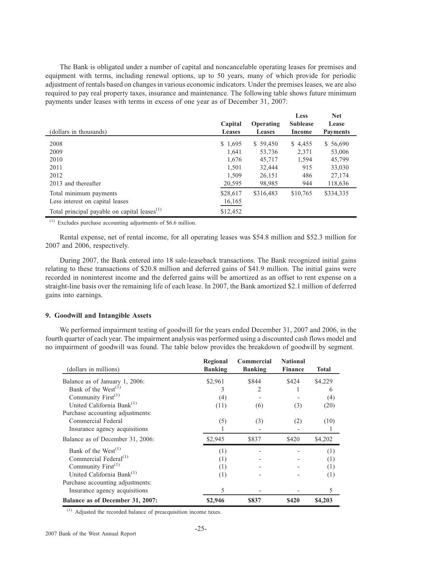The Bank is obligated under a number of capital and noncancelable operating leases for premises and equipment with terms, including renewal options, up to 50 years, many of which provide for periodic adjustment of rentals based on changes in various economic indicators. Under the premises leases, we are also required to pay real property taxes, insurance and maintenance. The following table shows future minimum payments under leases with terms in excess of one year as of December 31, 2007:

| (dollars in thousands)                                   | Capital<br><b>Leases</b> | Operating<br><b>Leases</b> | Less<br><b>Sublease</b><br>Income | <b>Net</b><br>Lease<br><b>Payments</b> |
|----------------------------------------------------------|--------------------------|----------------------------|-----------------------------------|----------------------------------------|
| 2008                                                     | \$1,695                  | \$59,450                   | \$4,455                           | \$ 56,690                              |
| 2009                                                     | 1,641                    | 53,736                     | 2,371                             | 53,006                                 |
| 2010                                                     | 1,676                    | 45,717                     | 1,594                             | 45,799                                 |
| 2011                                                     | 1.501                    | 32,444                     | 915                               | 33,030                                 |
| 2012                                                     | 1.509                    | 26,151                     | 486                               | 27,174                                 |
| 2013 and thereafter                                      | 20,595                   | 98,985                     | 944                               | 118,636                                |
| Total minimum payments                                   | \$28,617                 | \$316,483                  | \$10,765                          | \$334,335                              |
| Less interest on capital leases                          | 16,165                   |                            |                                   |                                        |
| Total principal payable on capital leases <sup>(1)</sup> | \$12,452                 |                            |                                   |                                        |

 $(1)$  Excludes purchase accounting adjustments of \$6.6 million.

Rental expense, net of rental income, for all operating leases was \$54.8 million and \$52.3 million for 2007 and 2006, respectively.

During 2007, the Bank entered into 18 sale-leaseback transactions. The Bank recognized initial gains relating to these transactions of \$20.8 million and deferred gains of \$41.9 million. The initial gains were recorded in noninterest income and the deferred gains will be amortized as an offset to rent expense on a straight-line basis over the remaining life of each lease. In 2007, the Bank amortized \$2.1 million of deferred gains into earnings.

## **9. Goodwill and Intangible Assets**

We performed impairment testing of goodwill for the years ended December 31, 2007 and 2006, in the fourth quarter of each year. The impairment analysis was performed using a discounted cash flows model and no impairment of goodwill was found. The table below provides the breakdown of goodwill by segment.

| (dollars in millions)                 | Regional<br><b>Banking</b> | Commercial<br><b>Banking</b> | <b>National</b><br><b>Finance</b> | <b>Total</b> |
|---------------------------------------|----------------------------|------------------------------|-----------------------------------|--------------|
| Balance as of January 1, 2006:        | \$2,961                    | \$844                        | \$424                             | \$4,229      |
| Bank of the West <sup>(1)</sup>       | 3                          | 2                            |                                   | 6            |
| Community $First(1)$                  | (4)                        |                              |                                   | (4)          |
| United California Bank <sup>(1)</sup> | (11)                       | (6)                          | (3)                               | (20)         |
| Purchase accounting adjustments:      |                            |                              |                                   |              |
| Commercial Federal                    | (5)                        | (3)                          | (2)                               | (10)         |
| Insurance agency acquisitions         |                            |                              |                                   |              |
| Balance as of December 31, 2006:      | \$2,945                    | \$837                        | \$420                             | \$4,202      |
| Bank of the $West^{(1)}$              | (1)                        |                              |                                   | (1)          |
| Commercial Federal <sup>(1)</sup>     | (1)                        |                              |                                   | (1)          |
| Community First <sup>(1)</sup>        | (1)                        |                              |                                   | (1)          |
| United California Bank <sup>(1)</sup> | (1)                        |                              |                                   | (1)          |
| Purchase accounting adjustments:      |                            |                              |                                   |              |
| Insurance agency acquisitions         | 5                          |                              |                                   | 5            |
| Balance as of December 31, 2007:      | \$2,946                    | \$837                        | \$420                             | \$4,203      |

(1) Adjusted the recorded balance of preacquisition income taxes.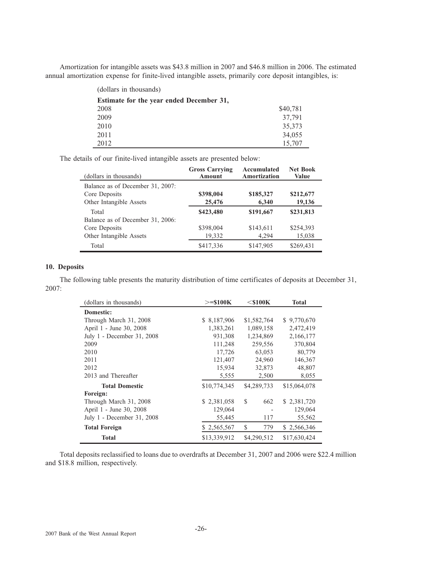Amortization for intangible assets was \$43.8 million in 2007 and \$46.8 million in 2006. The estimated annual amortization expense for finite-lived intangible assets, primarily core deposit intangibles, is:

| (dollars in thousands)                   |          |
|------------------------------------------|----------|
| Estimate for the year ended December 31, |          |
| 2008                                     | \$40,781 |
| 2009                                     | 37,791   |
| 2010                                     | 35,373   |
| 2011                                     | 34,055   |
| 2012                                     | 15,707   |

The details of our finite-lived intangible assets are presented below:

| (dollars in thousands)                                                       | <b>Gross Carrying</b><br><b>Amount</b> | Accumulated<br>Amortization | <b>Net Book</b><br>Value |
|------------------------------------------------------------------------------|----------------------------------------|-----------------------------|--------------------------|
| Balance as of December 31, 2007:<br>Core Deposits<br>Other Intangible Assets | \$398,004<br>25,476                    | \$185,327<br>6,340          | \$212,677<br>19,136      |
| Total<br>Balance as of December 31, 2006:                                    | \$423,480                              | \$191,667                   | \$231,813                |
| Core Deposits<br>Other Intangible Assets                                     | \$398,004<br>19,332                    | \$143,611<br>4,294          | \$254,393<br>15,038      |
| Total                                                                        | \$417,336                              | \$147,905                   | \$269,431                |

## **10. Deposits**

The following table presents the maturity distribution of time certificates of deposits at December 31, 2007:

| (dollars in thousands)     | $>=$ \$100K  | $<$ \$100 $\mathrm{K}$ | <b>Total</b> |
|----------------------------|--------------|------------------------|--------------|
| Domestic:                  |              |                        |              |
| Through March 31, 2008     | \$ 8,187,906 | \$1,582,764            | \$9,770,670  |
| April 1 - June 30, 2008    | 1,383,261    | 1,089,158              | 2,472,419    |
| July 1 - December 31, 2008 | 931,308      | 1,234,869              | 2,166,177    |
| 2009                       | 111,248      | 259,556                | 370,804      |
| 2010                       | 17,726       | 63,053                 | 80,779       |
| 2011                       | 121,407      | 24,960                 | 146,367      |
| 2012                       | 15,934       | 32,873                 | 48,807       |
| 2013 and Thereafter        | 5,555        | 2,500                  | 8,055        |
| <b>Total Domestic</b>      | \$10,774,345 | \$4,289,733            | \$15,064,078 |
| Foreign:                   |              |                        |              |
| Through March 31, 2008     | \$2,381,058  | S<br>662               | \$2,381,720  |
| April 1 - June 30, 2008    | 129,064      |                        | 129,064      |
| July 1 - December 31, 2008 | 55,445       | 117                    | 55,562       |
| <b>Total Foreign</b>       | \$2,565,567  | S<br>779               | \$2,566,346  |
| <b>Total</b>               | \$13,339,912 | \$4,290,512            | \$17,630,424 |

Total deposits reclassified to loans due to overdrafts at December 31, 2007 and 2006 were \$22.4 million and \$18.8 million, respectively.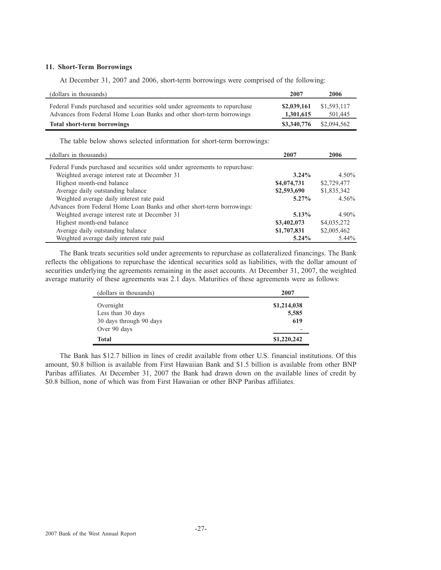## **11. Short-Term Borrowings**

At December 31, 2007 and 2006, short-term borrowings were comprised of the following:

| (dollars in thousands)                                                                                                                              | 2007                     | 2006                   |
|-----------------------------------------------------------------------------------------------------------------------------------------------------|--------------------------|------------------------|
| Federal Funds purchased and securities sold under agreements to repurchase<br>Advances from Federal Home Loan Banks and other short-term borrowings | \$2,039,161<br>1,301,615 | \$1,593,117<br>501,445 |
| <b>Total short-term borrowings</b>                                                                                                                  | \$3,340,776              | \$2,094.562            |

The table below shows selected information for short-term borrowings:

| (dollars in thousands)                                                      | 2007        | 2006        |
|-----------------------------------------------------------------------------|-------------|-------------|
| Federal Funds purchased and securities sold under agreements to repurchase: |             |             |
| Weighted average interest rate at December 31                               | $3.24\%$    | $4.50\%$    |
| Highest month-end balance                                                   | \$4,074,731 | \$2,729,477 |
| Average daily outstanding balance                                           | \$2,593,690 | \$1,835,342 |
| Weighted average daily interest rate paid                                   | $5.27\%$    | $4.56\%$    |
| Advances from Federal Home Loan Banks and other short-term borrowings:      |             |             |
| Weighted average interest rate at December 31                               | $5.13\%$    | $4.90\%$    |
| Highest month-end balance                                                   | \$3,402,073 | \$4,035,272 |
| Average daily outstanding balance                                           | \$1,707,831 | \$2,005,462 |
| Weighted average daily interest rate paid                                   | $5.24\%$    | $5.44\%$    |

The Bank treats securities sold under agreements to repurchase as collateralized financings. The Bank reflects the obligations to repurchase the identical securities sold as liabilities, with the dollar amount of securities underlying the agreements remaining in the asset accounts. At December 31, 2007, the weighted average maturity of these agreements was 2.1 days. Maturities of these agreements were as follows:

| (dollars in thousands)  | 2007                         |
|-------------------------|------------------------------|
| Overnight               | \$1,214,038                  |
| Less than 30 days       | 5,585                        |
| 30 days through 90 days | 619                          |
| Over 90 days            | $\qquad \qquad \blacksquare$ |
| <b>Total</b>            | \$1,220,242                  |

The Bank has \$12.7 billion in lines of credit available from other U.S. financial institutions. Of this amount, \$0.8 billion is available from First Hawaiian Bank and \$1.5 billion is available from other BNP Paribas affiliates. At December 31, 2007 the Bank had drawn down on the available lines of credit by \$0.8 billion, none of which was from First Hawaiian or other BNP Paribas affiliates.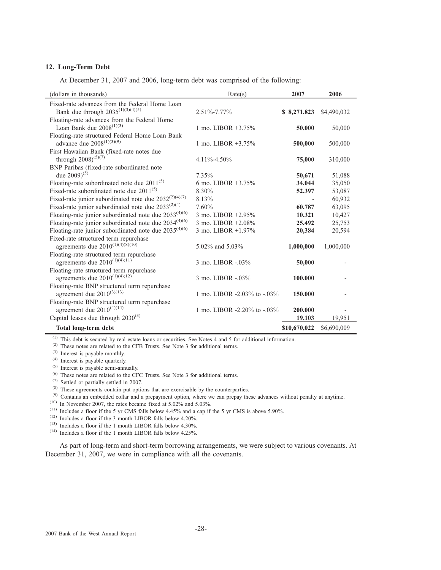## **12. Long-Term Debt**

At December 31, 2007 and 2006, long-term debt was comprised of the following:

| (dollars in thousands)                                                                                                   | Rate(s)                                  | 2007              | 2006             |
|--------------------------------------------------------------------------------------------------------------------------|------------------------------------------|-------------------|------------------|
| Fixed-rate advances from the Federal Home Loan<br>Bank due through $2035^{(1)(3)(4)(5)}$                                 | $2.51\% - 7.77\%$                        | \$8,271,823       | \$4,490,032      |
| Floating-rate advances from the Federal Home<br>Loan Bank due $2008^{(1)(3)}$                                            | 1 mo. LIBOR $+3.75\%$                    | 50,000            | 50,000           |
| Floating-rate structured Federal Home Loan Bank<br>advance due $2008^{(1)(3)(9)}$                                        | 1 mo. LIBOR $+3.75\%$                    | 500,000           | 500,000          |
| First Hawaiian Bank (fixed-rate notes due<br>through $2008)^{(5)(7)}$                                                    | $4.11\% - 4.50\%$                        | 75,000            | 310,000          |
| BNP Paribas (fixed-rate subordinated note<br>due $2009$ <sup>(5)</sup>                                                   | $7.35\%$                                 | 50,671            | 51,088           |
| Floating-rate subordinated note due $2011^{(5)}$<br>Fixed-rate subordinated note due $2011^{(5)}$                        | 6 mo. LIBOR $+3.75\%$<br>8.30%           | 34,044<br>52,397  | 35,050<br>53,087 |
| Fixed-rate junior subordinated note due $2032^{(2)(4)(7)}$<br>Fixed-rate junior subordinated note due $2033^{(2)(4)}$    | 8.13%<br>7.60%                           | 60,787            | 60,932<br>63,095 |
| Floating-rate junior subordinated note due $2033^{(4)(6)}$<br>Floating-rate junior subordinated note due $2034^{(4)(6)}$ | 3 mo. LIBOR +2.95%<br>3 mo. LIBOR +2.08% | 10,321<br>25,492  | 10,427<br>25,753 |
| Floating-rate junior subordinated note due $2035^{(4)(6)}$<br>Fixed-rate structured term repurchase                      | 3 mo. LIBOR +1.97%                       | 20,384            | 20,594           |
| agreements due $2010^{(1)(4)(8)(10)}$<br>Floating-rate structured term repurchase                                        | 5.02\% and 5.03\%                        | 1,000,000         | 1,000,000        |
| agreements due $2010^{(1)(4)(11)}$<br>Floating-rate structured term repurchase                                           | 3 mo. LIBOR -.03%                        | 50,000            |                  |
| agreements due $2010^{(1)(4)(12)}$<br>Floating-rate BNP structured term repurchase                                       | 3 mo. LIBOR -.03%                        | 100,000           |                  |
| agreement due $2010^{(3)(13)}$<br>Floating-rate BNP structured term repurchase                                           | 1 mo. LIBOR -2.03% to -.03%              | 150,000           |                  |
| agreement due $2010^{(4)(14)}$<br>Capital leases due through $2030^{(3)}$                                                | 1 mo. LIBOR -2.20% to -.03%              | 200,000<br>19,103 | 19,951           |
| Total long-term debt                                                                                                     |                                          | \$10,670,022      | \$6,690,009      |

(1) This debt is secured by real estate loans or securities. See Notes 4 and 5 for additional information.

(2) These notes are related to the CFB Trusts. See Note 3 for additional terms.

(3) Interest is payable monthly.

(4) Interest is payable quarterly.

(5) Interest is payable semi-annually.

(6) These notes are related to the CFC Trusts. See Note 3 for additional terms.

(7) Settled or partially settled in 2007.

<sup>(8)</sup> These agreements contain put options that are exercisable by the counterparties.

<sup>(9)</sup> Contains an embedded collar and a prepayment option, where we can prepay these advances without penalty at anytime.

 $(10)$  In November 2007, the rates became fixed at 5.02% and 5.03%.

 $(11)$  Includes a floor if the 5 yr CMS falls below 4.45% and a cap if the 5 yr CMS is above 5.90%.

 $(12)$  Includes a floor if the 3 month LIBOR falls below 4.20%.

 $(13)$  Includes a floor if the 1 month LIBOR falls below 4.30%.

 $(14)$  Includes a floor if the 1 month LIBOR falls below 4.25%.

As part of long-term and short-term borrowing arrangements, we were subject to various covenants. At December 31, 2007, we were in compliance with all the covenants.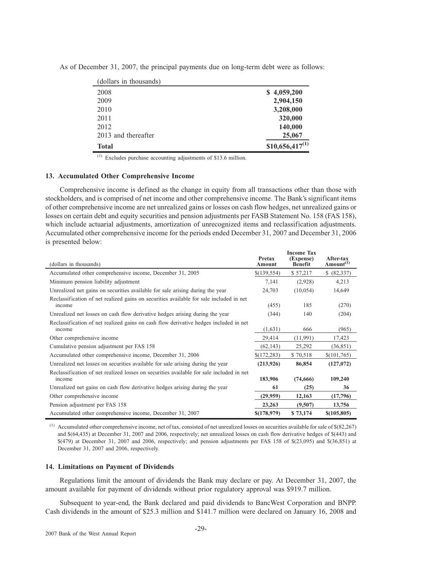| (dollars in thousands) |                     |
|------------------------|---------------------|
| 2008                   | \$4,059,200         |
| 2009                   | 2,904,150           |
| 2010                   | 3,208,000           |
| 2011                   | 320,000             |
| 2012                   | 140,000             |
| 2013 and thereafter    | 25,067              |
| <b>Total</b>           | $$10,656,417^{(1)}$ |

As of December 31, 2007, the principal payments due on long-term debt were as follows:

Excludes purchase accounting adjustments of \$13.6 million.

## **13. Accumulated Other Comprehensive Income**

Comprehensive income is defined as the change in equity from all transactions other than those with stockholders, and is comprised of net income and other comprehensive income. The Bank's significant items of other comprehensive income are net unrealized gains or losses on cash flow hedges, net unrealized gains or losses on certain debt and equity securities and pension adjustments per FASB Statement No. 158 (FAS 158), which include actuarial adjustments, amortization of unrecognized items and reclassification adjustments. Accumulated other comprehensive income for the periods ended December 31, 2007 and December 31, 2006 is presented below:

|                                                                                                    |                  | <b>Income Tax</b>           |                                    |
|----------------------------------------------------------------------------------------------------|------------------|-----------------------------|------------------------------------|
| (dollars in thousands)                                                                             | Pretax<br>Amount | (Expense)<br><b>Benefit</b> | After-tax<br>Amount <sup>(1)</sup> |
| Accumulated other comprehensive income, December 31, 2005                                          | \$(139,554)      | \$57,217                    | \$ (82,337)                        |
| Minimum pension liability adjustment                                                               | 7,141            | (2,928)                     | 4,213                              |
| Unrealized net gains on securities available for sale arising during the year                      | 24,703           | (10, 054)                   | 14,649                             |
| Reclassification of net realized gains on securities available for sale included in net<br>income  | (455)            | 185                         | (270)                              |
| Unrealized net losses on cash flow derivative hedges arising during the year                       | (344)            | 140                         | (204)                              |
| Reclassification of net realized gains on cash flow derivative hedges included in net<br>income    | (1,631)          | 666                         | (965)                              |
| Other comprehensive income                                                                         | 29,414           | (11,991)                    | 17,423                             |
| Cumulative pension adjustment per FAS 158                                                          | (62, 143)        | 25,292                      | (36, 851)                          |
| Accumulated other comprehensive income, December 31, 2006                                          | \$(172, 283)     | \$70,518                    | \$(101,765)                        |
| Unrealized net losses on securities available for sale arising during the year                     | (213, 926)       | 86,854                      | (127,072)                          |
| Reclassification of net realized losses on securities available for sale included in net<br>income | 183,906          | (74,666)                    | 109,240                            |
| Unrealized net gains on cash flow derivative hedges arising during the year                        | 61               | (25)                        | 36                                 |
| Other comprehensive income                                                                         | (29,959)         | 12,163                      | (17,796)                           |
| Pension adjustment per FAS 158                                                                     | 23,263           | (9,507)                     | 13,756                             |
| Accumulated other comprehensive income, December 31, 2007                                          | \$(178,979)      | \$73,174                    | \$(105,805)                        |

 $^{(1)}$  Accumulated other comprehensive income, net of tax, consisted of net unrealized losses on securities available for sale of \$(82,267) and \$(64,435) at December 31, 2007 and 2006, respectively; net unrealized losses on cash flow derivative hedges of \$(443) and \$(479) at December 31, 2007 and 2006, respectively; and pension adjustments per FAS 158 of \$(23,095) and \$(36,851) at December 31, 2007 and 2006, respectively.

## **14. Limitations on Payment of Dividends**

Regulations limit the amount of dividends the Bank may declare or pay. At December 31, 2007, the amount available for payment of dividends without prior regulatory approval was \$919.7 million.

Subsequent to year-end, the Bank declared and paid dividends to BancWest Corporation and BNPP. Cash dividends in the amount of \$25.3 million and \$141.7 million were declared on January 16, 2008 and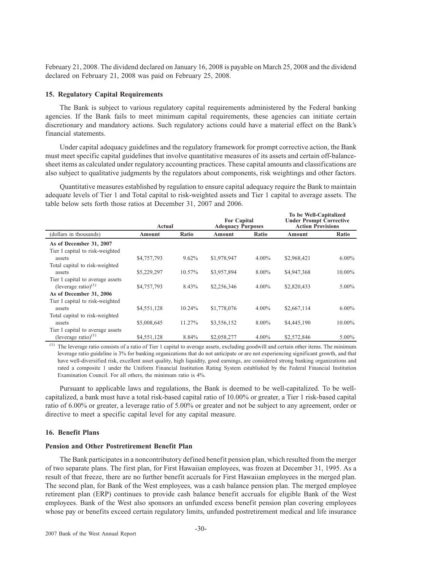February 21, 2008. The dividend declared on January 16, 2008 is payable on March 25, 2008 and the dividend declared on February 21, 2008 was paid on February 25, 2008.

## **15. Regulatory Capital Requirements**

The Bank is subject to various regulatory capital requirements administered by the Federal banking agencies. If the Bank fails to meet minimum capital requirements, these agencies can initiate certain discretionary and mandatory actions. Such regulatory actions could have a material effect on the Bank's financial statements.

Under capital adequacy guidelines and the regulatory framework for prompt corrective action, the Bank must meet specific capital guidelines that involve quantitative measures of its assets and certain off-balancesheet items as calculated under regulatory accounting practices. These capital amounts and classifications are also subject to qualitative judgments by the regulators about components, risk weightings and other factors.

Quantitative measures established by regulation to ensure capital adequacy require the Bank to maintain adequate levels of Tier 1 and Total capital to risk-weighted assets and Tier 1 capital to average assets. The table below sets forth those ratios at December 31, 2007 and 2006.

|                                                                      | Actual      |        | <b>For Capital</b><br><b>Adequacy Purposes</b> |          | To be Well-Capitalized<br><b>Under Prompt Corrective</b><br><b>Action Provisions</b> |          |
|----------------------------------------------------------------------|-------------|--------|------------------------------------------------|----------|--------------------------------------------------------------------------------------|----------|
| (dollars in thousands)                                               | Amount      | Ratio  | Amount                                         | Ratio    | Amount                                                                               | Ratio    |
| As of December 31, 2007<br>Tier I capital to risk-weighted<br>assets | \$4,757,793 | 9.62%  | \$1,978,947                                    | $4.00\%$ | \$2,968,421                                                                          | $6.00\%$ |
| Total capital to risk-weighted<br>assets                             | \$5,229,297 | 10.57% | \$3,957,894                                    | 8.00%    | \$4,947,368                                                                          | 10.00%   |
| Tier I capital to average assets<br>(leverage ratio) $(1)$           | \$4,757,793 | 8.43%  | \$2,256,346                                    | $4.00\%$ | \$2,820,433                                                                          | $5.00\%$ |
| As of December 31, 2006<br>Tier I capital to risk-weighted           |             |        |                                                |          |                                                                                      |          |
| assets<br>Total capital to risk-weighted                             | \$4,551,128 | 10.24% | \$1,778,076                                    | $4.00\%$ | \$2,667,114                                                                          | $6.00\%$ |
| assets<br>Tier I capital to average assets                           | \$5,008,645 | 11.27% | \$3,556,152                                    | 8.00%    | \$4,445,190                                                                          | 10.00%   |
| (leverage ratio) $(1)$                                               | \$4,551,128 | 8.84%  | \$2,058,277                                    | $4.00\%$ | \$2,572,846                                                                          | $5.00\%$ |

(1) The leverage ratio consists of a ratio of Tier 1 capital to average assets, excluding goodwill and certain other items. The minimum leverage ratio guideline is 3% for banking organizations that do not anticipate or are not experiencing significant growth, and that have well-diversified risk, excellent asset quality, high liquidity, good earnings, are considered strong banking organizations and rated a composite 1 under the Uniform Financial Institution Rating System established by the Federal Financial Institution Examination Council. For all others, the minimum ratio is 4%.

Pursuant to applicable laws and regulations, the Bank is deemed to be well-capitalized. To be wellcapitalized, a bank must have a total risk-based capital ratio of 10.00% or greater, a Tier 1 risk-based capital ratio of 6.00% or greater, a leverage ratio of 5.00% or greater and not be subject to any agreement, order or directive to meet a specific capital level for any capital measure.

## **16. Benefit Plans**

## **Pension and Other Postretirement Benefit Plan**

The Bank participates in a noncontributory defined benefit pension plan, which resulted from the merger of two separate plans. The first plan, for First Hawaiian employees, was frozen at December 31, 1995. As a result of that freeze, there are no further benefit accruals for First Hawaiian employees in the merged plan. The second plan, for Bank of the West employees, was a cash balance pension plan. The merged employee retirement plan (ERP) continues to provide cash balance benefit accruals for eligible Bank of the West employees. Bank of the West also sponsors an unfunded excess benefit pension plan covering employees whose pay or benefits exceed certain regulatory limits, unfunded postretirement medical and life insurance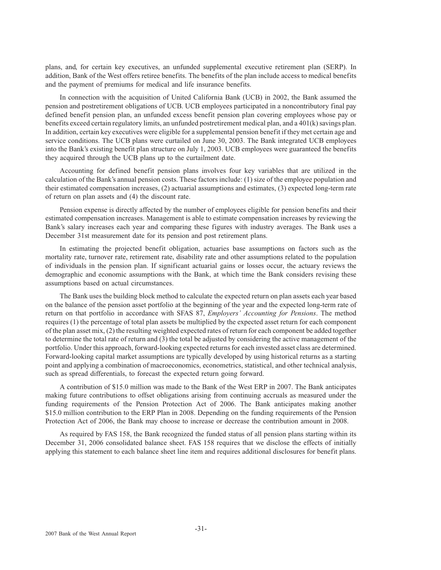plans, and, for certain key executives, an unfunded supplemental executive retirement plan (SERP). In addition, Bank of the West offers retiree benefits. The benefits of the plan include access to medical benefits and the payment of premiums for medical and life insurance benefits.

In connection with the acquisition of United California Bank (UCB) in 2002, the Bank assumed the pension and postretirement obligations of UCB. UCB employees participated in a noncontributory final pay defined benefit pension plan, an unfunded excess benefit pension plan covering employees whose pay or benefits exceed certain regulatory limits, an unfunded postretirement medical plan, and a 401(k) savings plan. In addition, certain key executives were eligible for a supplemental pension benefit if they met certain age and service conditions. The UCB plans were curtailed on June 30, 2003. The Bank integrated UCB employees into the Bank's existing benefit plan structure on July 1, 2003. UCB employees were guaranteed the benefits they acquired through the UCB plans up to the curtailment date.

Accounting for defined benefit pension plans involves four key variables that are utilized in the calculation of the Bank's annual pension costs. These factors include: (1) size of the employee population and their estimated compensation increases, (2) actuarial assumptions and estimates, (3) expected long-term rate of return on plan assets and (4) the discount rate.

Pension expense is directly affected by the number of employees eligible for pension benefits and their estimated compensation increases. Management is able to estimate compensation increases by reviewing the Bank's salary increases each year and comparing these figures with industry averages. The Bank uses a December 31st measurement date for its pension and post retirement plans.

In estimating the projected benefit obligation, actuaries base assumptions on factors such as the mortality rate, turnover rate, retirement rate, disability rate and other assumptions related to the population of individuals in the pension plan. If significant actuarial gains or losses occur, the actuary reviews the demographic and economic assumptions with the Bank, at which time the Bank considers revising these assumptions based on actual circumstances.

The Bank uses the building block method to calculate the expected return on plan assets each year based on the balance of the pension asset portfolio at the beginning of the year and the expected long-term rate of return on that portfolio in accordance with SFAS 87, *Employers' Accounting for Pensions*. The method requires (1) the percentage of total plan assets be multiplied by the expected asset return for each component of the plan asset mix, (2) the resulting weighted expected rates of return for each component be added together to determine the total rate of return and (3) the total be adjusted by considering the active management of the portfolio. Under this approach, forward-looking expected returns for each invested asset class are determined. Forward-looking capital market assumptions are typically developed by using historical returns as a starting point and applying a combination of macroeconomics, econometrics, statistical, and other technical analysis, such as spread differentials, to forecast the expected return going forward.

A contribution of \$15.0 million was made to the Bank of the West ERP in 2007. The Bank anticipates making future contributions to offset obligations arising from continuing accruals as measured under the funding requirements of the Pension Protection Act of 2006. The Bank anticipates making another \$15.0 million contribution to the ERP Plan in 2008. Depending on the funding requirements of the Pension Protection Act of 2006, the Bank may choose to increase or decrease the contribution amount in 2008.

As required by FAS 158, the Bank recognized the funded status of all pension plans starting within its December 31, 2006 consolidated balance sheet. FAS 158 requires that we disclose the effects of initially applying this statement to each balance sheet line item and requires additional disclosures for benefit plans.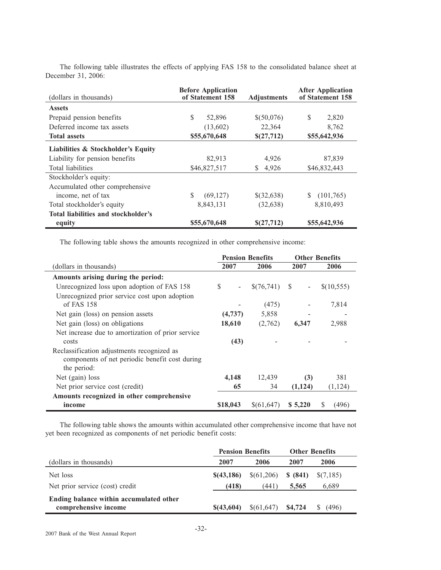| (dollars in thousands)              | <b>Before Application</b><br>of Statement 158<br><b>Adjustments</b> |            | <b>After Application</b><br>of Statement 158 |  |
|-------------------------------------|---------------------------------------------------------------------|------------|----------------------------------------------|--|
| <b>Assets</b>                       |                                                                     |            |                                              |  |
| Prepaid pension benefits            | \$<br>52,896                                                        | \$(50,076) | S<br>2,820                                   |  |
| Deferred income tax assets          | (13,602)                                                            | 22,364     | 8,762                                        |  |
| <b>Total assets</b>                 | \$55,670,648                                                        | \$(27,712) | \$55,642,936                                 |  |
| Liabilities & Stockholder's Equity  |                                                                     |            |                                              |  |
| Liability for pension benefits      | 82,913                                                              | 4,926      | 87,839                                       |  |
| Total liabilities                   | \$46,827,517                                                        | 4,926<br>S | \$46,832,443                                 |  |
| Stockholder's equity:               |                                                                     |            |                                              |  |
| Accumulated other comprehensive     |                                                                     |            |                                              |  |
| income, net of tax                  | (69,127)                                                            | \$(32,638) | (101,765)                                    |  |
| Total stockholder's equity          | 8,843,131                                                           | (32, 638)  | 8,810,493                                    |  |
| Total liabilities and stockholder's |                                                                     |            |                                              |  |
| equity                              | \$55,670,648                                                        | \$(27,712) | \$55,642,936                                 |  |

The following table illustrates the effects of applying FAS 158 to the consolidated balance sheet at December 31, 2006:

The following table shows the amounts recognized in other comprehensive income:

|                                                   | <b>Pension Benefits</b> |            | <b>Other Benefits</b>           |            |
|---------------------------------------------------|-------------------------|------------|---------------------------------|------------|
| (dollars in thousands)                            | 2007                    | 2006       | 2007                            | 2006       |
| Amounts arising during the period:                |                         |            |                                 |            |
| Unrecognized loss upon adoption of FAS 158        | S<br>$\blacksquare$     | \$(76,741) | - S<br>$\overline{\phantom{a}}$ | \$(10,555) |
| Unrecognized prior service cost upon adoption     |                         |            |                                 |            |
| of FAS $158$                                      |                         | (475)      |                                 | 7,814      |
| Net gain (loss) on pension assets                 | (4,737)                 | 5,858      |                                 |            |
| Net gain (loss) on obligations                    | 18,610                  | (2,762)    | 6,347                           | 2,988      |
| Net increase due to amortization of prior service |                         |            |                                 |            |
| costs                                             | (43)                    |            |                                 |            |
| Reclassification adjustments recognized as        |                         |            |                                 |            |
| components of net periodic benefit cost during    |                         |            |                                 |            |
| the period:                                       |                         |            |                                 |            |
| Net (gain) loss                                   | 4,148                   | 12,439     | (3)                             | 381        |
| Net prior service cost (credit)                   | 65                      | 34         | (1, 124)                        | (1, 124)   |
| Amounts recognized in other comprehensive         |                         |            |                                 |            |
| income                                            | \$18,043                | \$(61,647) | \$5,220                         | (496)<br>S |

The following table shows the amounts within accumulated other comprehensive income that have not yet been recognized as components of net periodic benefit costs:

|                                                                 | <b>Pension Benefits</b> |                 | <b>Other Benefits</b> |             |  |
|-----------------------------------------------------------------|-------------------------|-----------------|-----------------------|-------------|--|
| (dollars in thousands)                                          | 2007                    | 2006            | 2007                  | 2006        |  |
| Net loss                                                        | \$(43,186)              | $\{(61, 206)\}$ | \$ (841)              | $\S(7,185)$ |  |
| Net prior service (cost) credit                                 | (418)                   | (441)           | 5.565                 | 6.689       |  |
| Ending balance within accumulated other<br>comprehensive income | \$(43,604)              | \$(61,647)      | \$4,724               | (496)       |  |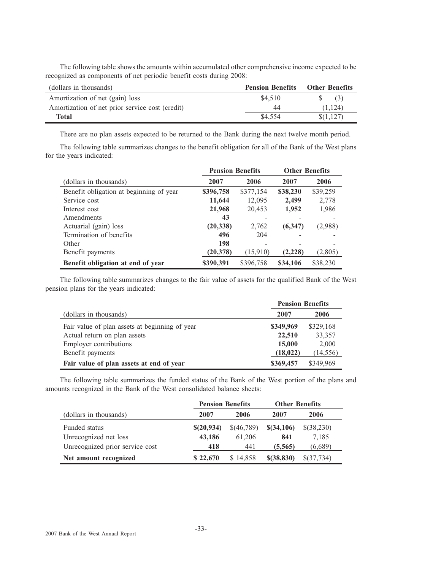The following table shows the amounts within accumulated other comprehensive income expected to be recognized as components of net periodic benefit costs during 2008:

| (dollars in thousands)                          | <b>Pension Benefits</b> | <b>Other Benefits</b> |
|-------------------------------------------------|-------------------------|-----------------------|
| Amortization of net (gain) loss                 | \$4.510                 | $\text{S}$ (3)        |
| Amortization of net prior service cost (credit) | 44                      | (1.124)               |
| Total                                           | \$4,554                 | $\{(1,127)\}$         |

There are no plan assets expected to be returned to the Bank during the next twelve month period.

The following table summarizes changes to the benefit obligation for all of the Bank of the West plans for the years indicated:

|                                         | <b>Pension Benefits</b> |           | <b>Other Benefits</b> |          |  |
|-----------------------------------------|-------------------------|-----------|-----------------------|----------|--|
| (dollars in thousands)                  | 2007                    | 2006      | 2007                  | 2006     |  |
| Benefit obligation at beginning of year | \$396,758               | \$377,154 | \$38,230              | \$39,259 |  |
| Service cost                            | 11,644                  | 12,095    | 2,499                 | 2,778    |  |
| Interest cost                           | 21,968                  | 20,453    | 1,952                 | 1,986    |  |
| Amendments                              | 43                      |           |                       |          |  |
| Actuarial (gain) loss                   | (20, 338)               | 2,762     | (6,347)               | (2,988)  |  |
| Termination of benefits                 | 496                     | 204       |                       |          |  |
| Other                                   | 198                     |           |                       |          |  |
| Benefit payments                        | (20, 378)               | (15,910)  | (2,228)               | (2,805)  |  |
| Benefit obligation at end of year       | \$390,391               | \$396,758 | \$34,106              | \$38,230 |  |

The following table summarizes changes to the fair value of assets for the qualified Bank of the West pension plans for the years indicated:

|                                                | <b>Pension Benefits</b> |           |  |
|------------------------------------------------|-------------------------|-----------|--|
| (dollars in thousands)                         | 2007                    | 2006      |  |
| Fair value of plan assets at beginning of year | \$349,969               | \$329,168 |  |
| Actual return on plan assets                   | 22,510                  | 33,357    |  |
| <b>Employer contributions</b>                  | 15,000                  | 2,000     |  |
| Benefit payments                               | (18, 022)               | (14, 556) |  |
| Fair value of plan assets at end of year       | \$369,457               | \$349,969 |  |

The following table summarizes the funded status of the Bank of the West portion of the plans and amounts recognized in the Bank of the West consolidated balance sheets:

|                                 | <b>Pension Benefits</b> |            | <b>Other Benefits</b> |            |  |
|---------------------------------|-------------------------|------------|-----------------------|------------|--|
| (dollars in thousands)          | 2007                    | 2006       | 2007                  | 2006       |  |
| Funded status                   | \$(20,934)              | \$(46,789) | \$(34,106)            | \$(38,230) |  |
| Unrecognized net loss           | 43,186                  | 61,206     | 841                   | 7,185      |  |
| Unrecognized prior service cost | 418                     | 441        | (5,565)               | (6,689)    |  |
| Net amount recognized           | \$22,670                | \$14,858   | $$$ $(38, 830)$       | \$(37,734) |  |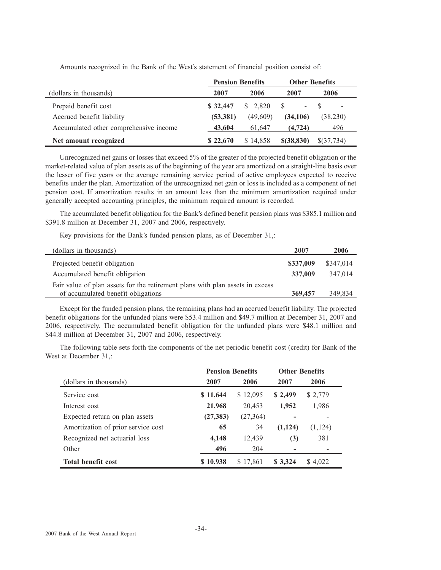|                                        | <b>Pension Benefits</b> |          | <b>Other Benefits</b>  |            |  |
|----------------------------------------|-------------------------|----------|------------------------|------------|--|
| (dollars in thousands)                 | 2007                    | 2006     | 2007                   | 2006       |  |
| Prepaid benefit cost                   | \$32,447                | \$2,820  | S<br>$\Delta \sim 100$ |            |  |
| Accrued benefit liability              | (53, 381)               | (49,609) | (34,106)               | (38,230)   |  |
| Accumulated other comprehensive income | 43,604                  | 61.647   | (4, 724)               | 496        |  |
| Net amount recognized                  | \$22,670                | \$14.858 | $$$ (38,830)           | \$(37,734) |  |

Amounts recognized in the Bank of the West's statement of financial position consist of:

Unrecognized net gains or losses that exceed 5% of the greater of the projected benefit obligation or the market-related value of plan assets as of the beginning of the year are amortized on a straight-line basis over the lesser of five years or the average remaining service period of active employees expected to receive benefits under the plan. Amortization of the unrecognized net gain or loss is included as a component of net pension cost. If amortization results in an amount less than the minimum amortization required under generally accepted accounting principles, the minimum required amount is recorded.

The accumulated benefit obligation for the Bank's defined benefit pension plans was \$385.1 million and \$391.8 million at December 31, 2007 and 2006, respectively.

Key provisions for the Bank's funded pension plans, as of December 31,:

| (dollars in thousands)                                                        | 2007      | 2006      |
|-------------------------------------------------------------------------------|-----------|-----------|
| Projected benefit obligation                                                  | \$337,009 | \$347,014 |
| Accumulated benefit obligation                                                | 337,009   | 347,014   |
| Fair value of plan assets for the retirement plans with plan assets in excess |           |           |
| of accumulated benefit obligations                                            | 369,457   | 349,834   |

Except for the funded pension plans, the remaining plans had an accrued benefit liability. The projected benefit obligations for the unfunded plans were \$53.4 million and \$49.7 million at December 31, 2007 and 2006, respectively. The accumulated benefit obligation for the unfunded plans were \$48.1 million and \$44.8 million at December 31, 2007 and 2006, respectively.

The following table sets forth the components of the net periodic benefit cost (credit) for Bank of the West at December 31,:

|                                    | <b>Pension Benefits</b> |           | <b>Other Benefits</b> |          |
|------------------------------------|-------------------------|-----------|-----------------------|----------|
| (dollars in thousands)             | 2007                    | 2006      | 2007                  | 2006     |
| Service cost                       | \$11,644                | \$12,095  | \$2,499               | \$ 2,779 |
| Interest cost                      | 21,968                  | 20,453    | 1,952                 | 1,986    |
| Expected return on plan assets     | (27, 383)               | (27, 364) |                       |          |
| Amortization of prior service cost | 65                      | 34        | (1,124)               | (1, 124) |
| Recognized net actuarial loss      | 4,148                   | 12,439    | (3)                   | 381      |
| Other                              | 496                     | 204       |                       |          |
| <b>Total benefit cost</b>          | \$10,938                | \$17,861  | \$3,324               | \$4,022  |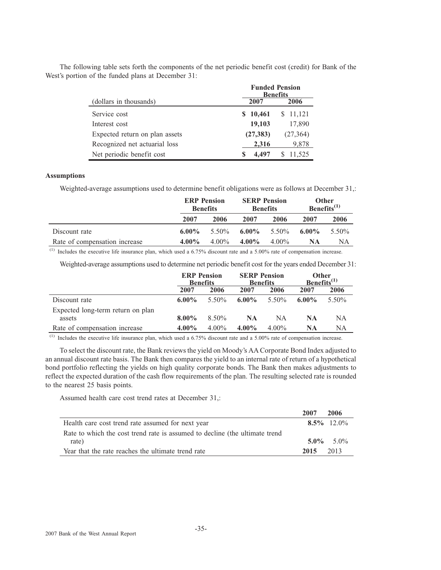|                                |                  | <b>Funded Pension</b><br><b>Benefits</b> |
|--------------------------------|------------------|------------------------------------------|
| (dollars in thousands)         | 2007             | 2006                                     |
| Service cost                   | 10,461<br>S      | 11,121<br>S                              |
| Interest cost                  | 17,890<br>19,103 |                                          |
| Expected return on plan assets | (27, 383)        | (27, 364)                                |
| Recognized net actuarial loss  | 2.316            | 9,878                                    |
| Net periodic benefit cost      | S                | 11.525                                   |

The following table sets forth the components of the net periodic benefit cost (credit) for Bank of the West's portion of the funded plans at December 31:

## **Assumptions**

Weighted-average assumptions used to determine benefit obligations were as follows at December 31,:

|                               | <b>ERP</b> Pension<br><b>SERP</b> Pension<br><b>Benefits</b><br><b>Benefits</b> |          | Other<br>Benefits $^{(1)}$ |          |          |          |
|-------------------------------|---------------------------------------------------------------------------------|----------|----------------------------|----------|----------|----------|
|                               | 2007                                                                            | 2006     | 2007                       | 2006     | 2007     | 2006     |
| Discount rate                 | $6.00\%$                                                                        | 5.50%    | $6.00\%$                   | 5.50%    | $6.00\%$ | $5.50\%$ |
| Rate of compensation increase | $4.00\%$                                                                        | $4.00\%$ | $4.00\%$                   | $4.00\%$ | NA       | NΑ       |

 $<sup>(1)</sup>$  Includes the executive life insurance plan, which used a 6.75% discount rate and a 5.00% rate of compensation increase.</sup>

Weighted-average assumptions used to determine net periodic benefit cost for the years ended December 31:

|                                             |          | <b>ERP</b> Pension<br><b>Benefits</b> |          | <b>SERP Pension</b><br>Other<br>Benefits $(1)$<br><b>Benefits</b> |           |          |
|---------------------------------------------|----------|---------------------------------------|----------|-------------------------------------------------------------------|-----------|----------|
|                                             | 2007     | 2006                                  | 2007     | 2006                                                              | 2007      | 2006     |
| Discount rate                               | $6.00\%$ | 5.50%                                 | $6.00\%$ | $5.50\%$                                                          | $6.00\%$  | $5.50\%$ |
| Expected long-term return on plan<br>assets | $8.00\%$ | 8.50%                                 | NA       | NA.                                                               | <b>NA</b> | NA       |
| Rate of compensation increase               | $4.00\%$ | $4.00\%$                              | $4.00\%$ | $4.00\%$                                                          | NA        | NA       |

 $<sup>(1)</sup>$  Includes the executive life insurance plan, which used a 6.75% discount rate and a 5.00% rate of compensation increase.</sup>

To select the discount rate, the Bank reviews the yield on Moody's AA Corporate Bond Index adjusted to an annual discount rate basis. The Bank then compares the yield to an internal rate of return of a hypothetical bond portfolio reflecting the yields on high quality corporate bonds. The Bank then makes adjustments to reflect the expected duration of the cash flow requirements of the plan. The resulting selected rate is rounded to the nearest 25 basis points.

Assumed health care cost trend rates at December 31,:

|                                                                             | 2007 | 2006                |
|-----------------------------------------------------------------------------|------|---------------------|
| Health care cost trend rate assumed for next year                           |      | $8.5\%$ 12.0%       |
| Rate to which the cost trend rate is assumed to decline (the ultimate trend |      |                     |
| rate)                                                                       |      | $5.0\% \quad 5.0\%$ |
| Year that the rate reaches the ultimate trend rate                          | 2015 | 2013                |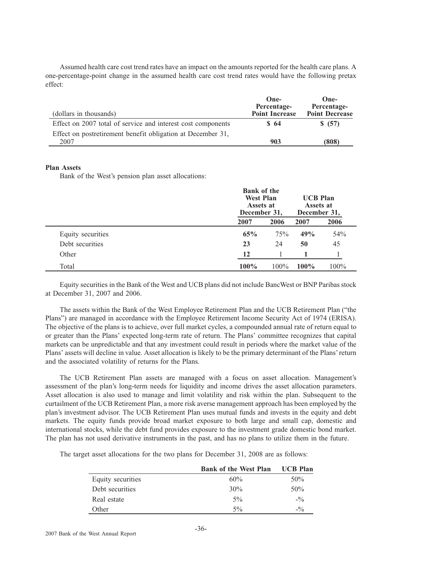Assumed health care cost trend rates have an impact on the amounts reported for the health care plans. A one-percentage-point change in the assumed health care cost trend rates would have the following pretax effect:

| (dollars in thousands)                                       | One-<br>Percentage-<br><b>Point Increase</b> | One-<br>Percentage-<br><b>Point Decrease</b> |
|--------------------------------------------------------------|----------------------------------------------|----------------------------------------------|
| Effect on 2007 total of service and interest cost components | \$ 64                                        | \$ (57)                                      |
| Effect on postretirement benefit obligation at December 31,  |                                              |                                              |
| 2007                                                         | 903                                          | (808)                                        |

## **Plan Assets**

Bank of the West's pension plan asset allocations:

|                   |      | <b>Bank of the</b><br><b>West Plan</b><br>Assets at<br>December 31, |         | <b>UCB Plan</b><br>Assets at<br>December 31, |  |
|-------------------|------|---------------------------------------------------------------------|---------|----------------------------------------------|--|
|                   | 2007 | 2006                                                                | 2007    | 2006                                         |  |
| Equity securities | 65%  | 75%                                                                 | 49%     | 54%                                          |  |
| Debt securities   | 23   | 24                                                                  | 50      | 45                                           |  |
| Other             | 12   |                                                                     |         |                                              |  |
| Total             | 100% | $100\%$                                                             | $100\%$ | 100%                                         |  |

Equity securities in the Bank of the West and UCB plans did not include BancWest or BNP Paribas stock at December 31, 2007 and 2006.

The assets within the Bank of the West Employee Retirement Plan and the UCB Retirement Plan ("the Plans") are managed in accordance with the Employee Retirement Income Security Act of 1974 (ERISA). The objective of the plans is to achieve, over full market cycles, a compounded annual rate of return equal to or greater than the Plans' expected long-term rate of return. The Plans' committee recognizes that capital markets can be unpredictable and that any investment could result in periods where the market value of the Plans' assets will decline in value. Asset allocation is likely to be the primary determinant of the Plans' return and the associated volatility of returns for the Plans.

The UCB Retirement Plan assets are managed with a focus on asset allocation. Management's assessment of the plan's long-term needs for liquidity and income drives the asset allocation parameters. Asset allocation is also used to manage and limit volatility and risk within the plan. Subsequent to the curtailment of the UCB Retirement Plan, a more risk averse management approach has been employed by the plan's investment advisor. The UCB Retirement Plan uses mutual funds and invests in the equity and debt markets. The equity funds provide broad market exposure to both large and small cap, domestic and international stocks, while the debt fund provides exposure to the investment grade domestic bond market. The plan has not used derivative instruments in the past, and has no plans to utilize them in the future.

The target asset allocations for the two plans for December 31, 2008 are as follows:

|                   | <b>Bank of the West Plan</b> | <b>UCB Plan</b> |
|-------------------|------------------------------|-----------------|
| Equity securities | 60%                          | 50%             |
| Debt securities   | 30%                          | 50%             |
| Real estate       | $5\%$                        | $-10$           |
| Other             | $5\%$                        | $-10/2$         |
|                   |                              |                 |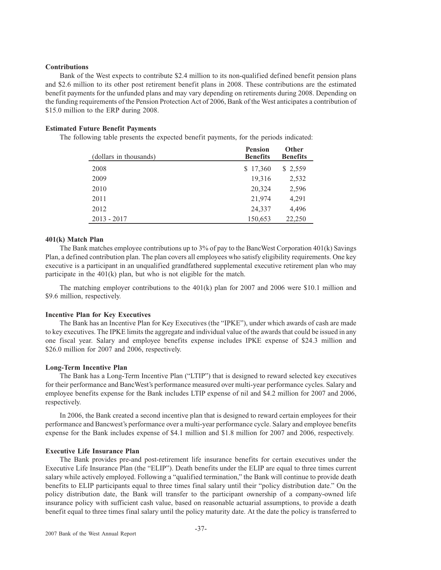## **Contributions**

Bank of the West expects to contribute \$2.4 million to its non-qualified defined benefit pension plans and \$2.6 million to its other post retirement benefit plans in 2008. These contributions are the estimated benefit payments for the unfunded plans and may vary depending on retirements during 2008. Depending on the funding requirements of the Pension Protection Act of 2006, Bank of the West anticipates a contribution of \$15.0 million to the ERP during 2008.

## **Estimated Future Benefit Payments**

The following table presents the expected benefit payments, for the periods indicated:

| (dollars in thousands) | <b>Pension</b><br><b>Benefits</b> | <b>Other</b><br><b>Benefits</b> |
|------------------------|-----------------------------------|---------------------------------|
| 2008                   | \$17,360                          | \$2,559                         |
| 2009                   | 19,316                            | 2,532                           |
| 2010                   | 20,324                            | 2,596                           |
| 2011                   | 21,974                            | 4,291                           |
| 2012                   | 24,337                            | 4,496                           |
| $2013 - 2017$          | 150,653                           | 22,250                          |

## **401(k) Match Plan**

The Bank matches employee contributions up to 3% of pay to the BancWest Corporation 401(k) Savings Plan, a defined contribution plan. The plan covers all employees who satisfy eligibility requirements. One key executive is a participant in an unqualified grandfathered supplemental executive retirement plan who may participate in the 401(k) plan, but who is not eligible for the match.

The matching employer contributions to the 401(k) plan for 2007 and 2006 were \$10.1 million and \$9.6 million, respectively.

#### **Incentive Plan for Key Executives**

The Bank has an Incentive Plan for Key Executives (the "IPKE"), under which awards of cash are made to key executives. The IPKE limits the aggregate and individual value of the awards that could be issued in any one fiscal year. Salary and employee benefits expense includes IPKE expense of \$24.3 million and \$26.0 million for 2007 and 2006, respectively.

#### **Long-Term Incentive Plan**

The Bank has a Long-Term Incentive Plan ("LTIP") that is designed to reward selected key executives for their performance and BancWest's performance measured over multi-year performance cycles. Salary and employee benefits expense for the Bank includes LTIP expense of nil and \$4.2 million for 2007 and 2006, respectively.

In 2006, the Bank created a second incentive plan that is designed to reward certain employees for their performance and Bancwest's performance over a multi-year performance cycle. Salary and employee benefits expense for the Bank includes expense of \$4.1 million and \$1.8 million for 2007 and 2006, respectively.

#### **Executive Life Insurance Plan**

The Bank provides pre-and post-retirement life insurance benefits for certain executives under the Executive Life Insurance Plan (the "ELIP"). Death benefits under the ELIP are equal to three times current salary while actively employed. Following a "qualified termination," the Bank will continue to provide death benefits to ELIP participants equal to three times final salary until their "policy distribution date." On the policy distribution date, the Bank will transfer to the participant ownership of a company-owned life insurance policy with sufficient cash value, based on reasonable actuarial assumptions, to provide a death benefit equal to three times final salary until the policy maturity date. At the date the policy is transferred to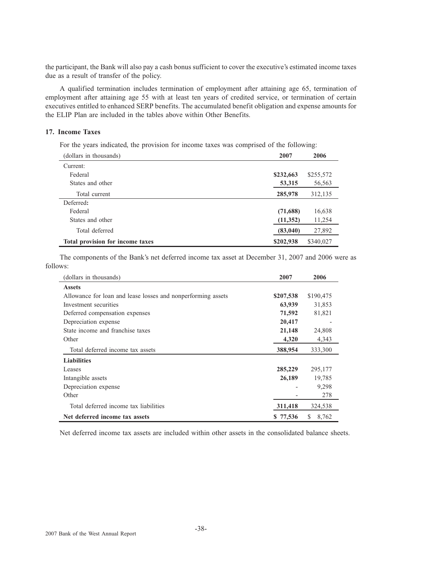the participant, the Bank will also pay a cash bonus sufficient to cover the executive's estimated income taxes due as a result of transfer of the policy.

A qualified termination includes termination of employment after attaining age 65, termination of employment after attaining age 55 with at least ten years of credited service, or termination of certain executives entitled to enhanced SERP benefits. The accumulated benefit obligation and expense amounts for the ELIP Plan are included in the tables above within Other Benefits.

## **17. Income Taxes**

For the years indicated, the provision for income taxes was comprised of the following:

| (dollars in thousands)           | 2007      | 2006      |
|----------------------------------|-----------|-----------|
| Current:                         |           |           |
| Federal                          | \$232,663 | \$255,572 |
| States and other                 | 53,315    | 56,563    |
| Total current                    | 285,978   | 312,135   |
| Deferred:                        |           |           |
| Federal                          | (71,688)  | 16,638    |
| States and other                 | (11,352)  | 11,254    |
| Total deferred                   | (83,040)  | 27,892    |
| Total provision for income taxes | \$202,938 | \$340,027 |

The components of the Bank's net deferred income tax asset at December 31, 2007 and 2006 were as follows:

| (dollars in thousands)                                       | 2007      | 2006        |
|--------------------------------------------------------------|-----------|-------------|
| <b>Assets</b>                                                |           |             |
| Allowance for loan and lease losses and nonperforming assets | \$207,538 | \$190,475   |
| Investment securities                                        | 63,939    | 31,853      |
| Deferred compensation expenses                               | 71,592    | 81,821      |
| Depreciation expense                                         | 20,417    |             |
| State income and franchise taxes                             | 21,148    | 24,808      |
| Other                                                        | 4,320     | 4,343       |
| Total deferred income tax assets                             | 388,954   | 333,300     |
| <b>Liabilities</b>                                           |           |             |
| Leases                                                       | 285,229   | 295,177     |
| Intangible assets                                            | 26,189    | 19,785      |
| Depreciation expense                                         |           | 9,298       |
| Other                                                        |           | 278         |
| Total deferred income tax liabilities                        | 311,418   | 324,538     |
| Net deferred income tax assets                               | \$77,536  | 8,762<br>S. |

Net deferred income tax assets are included within other assets in the consolidated balance sheets.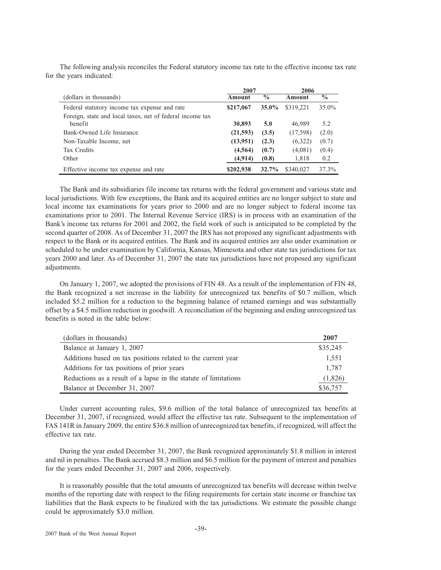The following analysis reconciles the Federal statutory income tax rate to the effective income tax rate for the years indicated:

|                                                           | 2007      |               | 2006      |          |
|-----------------------------------------------------------|-----------|---------------|-----------|----------|
| (dollars in thousands)                                    | Amount    | $\frac{0}{0}$ | Amount    | $\%$     |
| Federal statutory income tax expense and rate             | \$217,067 | $35.0\%$      | \$319.221 | $35.0\%$ |
| Foreign, state and local taxes, net of federal income tax |           |               |           |          |
| benefit                                                   | 30,893    | 5.0           | 46,989    | 5.2      |
| Bank-Owned Life Insurance                                 | (21,593)  | (3.5)         | (17,598)  | (2.0)    |
| Non-Taxable Income, net                                   | (13,951)  | (2.3)         | (6,322)   | (0.7)    |
| Tax Credits                                               | (4, 564)  | (0.7)         | (4,081)   | (0.4)    |
| Other                                                     | (4, 914)  | (0.8)         | 1,818     | 0.2      |
| Effective income tax expense and rate                     | \$202,938 | $32.7\%$      | \$340,027 | 37.3%    |

The Bank and its subsidiaries file income tax returns with the federal government and various state and local jurisdictions. With few exceptions, the Bank and its acquired entities are no longer subject to state and local income tax examinations for years prior to 2000 and are no longer subject to federal income tax examinations prior to 2001. The Internal Revenue Service (IRS) is in process with an examination of the Bank's income tax returns for 2001 and 2002, the field work of such is anticipated to be completed by the second quarter of 2008. As of December 31, 2007 the IRS has not proposed any significant adjustments with respect to the Bank or its acquired entities. The Bank and its acquired entities are also under examination or scheduled to be under examination by California, Kansas, Minnesota and other state tax jurisdictions for tax years 2000 and later. As of December 31, 2007 the state tax jurisdictions have not proposed any significant adjustments.

On January 1, 2007, we adopted the provisions of FIN 48. As a result of the implementation of FIN 48, the Bank recognized a net increase in the liability for unrecognized tax benefits of \$0.7 million, which included \$5.2 million for a reduction to the beginning balance of retained earnings and was substantially offset by a \$4.5 million reduction in goodwill. A reconciliation of the beginning and ending unrecognized tax benefits is noted in the table below:

| (dollars in thousands)                                          | 2007     |
|-----------------------------------------------------------------|----------|
| Balance at January 1, 2007                                      | \$35,245 |
| Additions based on tax positions related to the current year    | 1,551    |
| Additions for tax positions of prior years                      | 1.787    |
| Reductions as a result of a lapse in the statute of limitations | (1,826)  |
| Balance at December 31, 2007                                    | \$36,757 |

Under current accounting rules, \$9.6 million of the total balance of unrecognized tax benefits at December 31, 2007, if recognized, would affect the effective tax rate. Subsequent to the implementation of FAS 141R in January 2009, the entire \$36.8 million of unrecognized tax benefits, if recognized, will affect the effective tax rate.

During the year ended December 31, 2007, the Bank recognized approximately \$1.8 million in interest and nil in penalties. The Bank accrued \$8.3 million and \$6.5 million for the payment of interest and penalties for the years ended December 31, 2007 and 2006, respectively.

It is reasonably possible that the total amounts of unrecognized tax benefits will decrease within twelve months of the reporting date with respect to the filing requirements for certain state income or franchise tax liabilities that the Bank expects to be finalized with the tax jurisdictions. We estimate the possible change could be approximately \$3.0 million.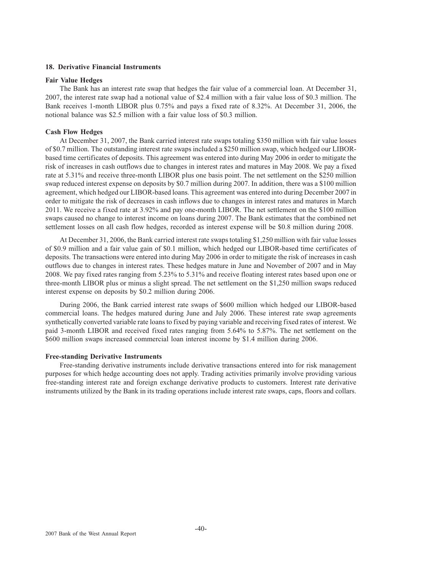## **18. Derivative Financial Instruments**

#### **Fair Value Hedges**

The Bank has an interest rate swap that hedges the fair value of a commercial loan. At December 31, 2007, the interest rate swap had a notional value of \$2.4 million with a fair value loss of \$0.3 million. The Bank receives 1-month LIBOR plus 0.75% and pays a fixed rate of 8.32%. At December 31, 2006, the notional balance was \$2.5 million with a fair value loss of \$0.3 million.

#### **Cash Flow Hedges**

At December 31, 2007, the Bank carried interest rate swaps totaling \$350 million with fair value losses of \$0.7 million. The outstanding interest rate swaps included a \$250 million swap, which hedged our LIBORbased time certificates of deposits. This agreement was entered into during May 2006 in order to mitigate the risk of increases in cash outflows due to changes in interest rates and matures in May 2008. We pay a fixed rate at 5.31% and receive three-month LIBOR plus one basis point. The net settlement on the \$250 million swap reduced interest expense on deposits by \$0.7 million during 2007. In addition, there was a \$100 million agreement, which hedged our LIBOR-based loans. This agreement was entered into during December 2007 in order to mitigate the risk of decreases in cash inflows due to changes in interest rates and matures in March 2011. We receive a fixed rate at 3.92% and pay one-month LIBOR. The net settlement on the \$100 million swaps caused no change to interest income on loans during 2007. The Bank estimates that the combined net settlement losses on all cash flow hedges, recorded as interest expense will be \$0.8 million during 2008.

At December 31, 2006, the Bank carried interest rate swaps totaling \$1,250 million with fair value losses of \$0.9 million and a fair value gain of \$0.1 million, which hedged our LIBOR-based time certificates of deposits. The transactions were entered into during May 2006 in order to mitigate the risk of increases in cash outflows due to changes in interest rates. These hedges mature in June and November of 2007 and in May 2008. We pay fixed rates ranging from 5.23% to 5.31% and receive floating interest rates based upon one or three-month LIBOR plus or minus a slight spread. The net settlement on the \$1,250 million swaps reduced interest expense on deposits by \$0.2 million during 2006.

During 2006, the Bank carried interest rate swaps of \$600 million which hedged our LIBOR-based commercial loans. The hedges matured during June and July 2006. These interest rate swap agreements synthetically converted variable rate loans to fixed by paying variable and receiving fixed rates of interest. We paid 3-month LIBOR and received fixed rates ranging from 5.64% to 5.87%. The net settlement on the \$600 million swaps increased commercial loan interest income by \$1.4 million during 2006.

## **Free-standing Derivative Instruments**

Free-standing derivative instruments include derivative transactions entered into for risk management purposes for which hedge accounting does not apply. Trading activities primarily involve providing various free-standing interest rate and foreign exchange derivative products to customers. Interest rate derivative instruments utilized by the Bank in its trading operations include interest rate swaps, caps, floors and collars.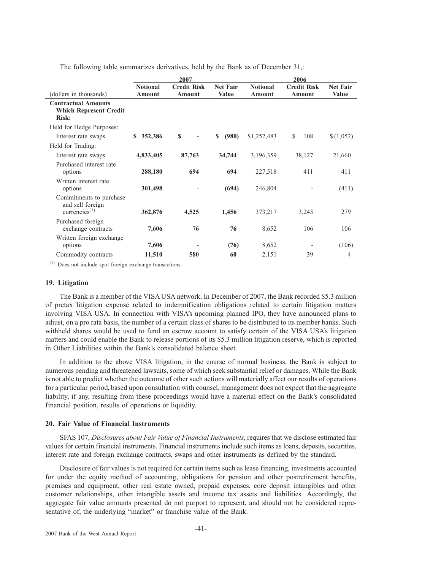The following table summarizes derivatives, held by the Bank as of December 31,:

|                                                                      |                 | 2007               |                 |                 | 2006               |                 |
|----------------------------------------------------------------------|-----------------|--------------------|-----------------|-----------------|--------------------|-----------------|
|                                                                      | <b>Notional</b> | <b>Credit Risk</b> | <b>Net Fair</b> | <b>Notional</b> | <b>Credit Risk</b> | <b>Net Fair</b> |
| (dollars in thousands)                                               | Amount          | Amount             | <b>Value</b>    | Amount          | Amount             | <b>Value</b>    |
| <b>Contractual Amounts</b><br><b>Which Represent Credit</b><br>Risk: |                 |                    |                 |                 |                    |                 |
| Held for Hedge Purposes:                                             |                 |                    |                 |                 |                    |                 |
| Interest rate swaps                                                  | 352,386<br>S    | \$<br>٠            | (980)<br>\$     | \$1,252,483     | \$<br>108          | \$(1,052)       |
| Held for Trading:                                                    |                 |                    |                 |                 |                    |                 |
| Interest rate swaps                                                  | 4,833,405       | 87,763             | 34,744          | 3,196,359       | 38,127             | 21,660          |
| Purchased interest rate<br>options                                   | 288,180         | 694                | 694             | 227,518         | 411                | 411             |
| Written interest rate<br>options                                     | 301,498         |                    | (694)           | 246,804         |                    | (411)           |
| Commitments to purchase<br>and sell foreign<br>currencies $^{(1)}$   | 362,876         | 4,525              | 1,456           | 373,217         | 3,243              | 279             |
| Purchased foreign<br>exchange contracts                              | 7,606           | 76                 | 76              | 8,652           | 106                | 106             |
| Written foreign exchange<br>options                                  | 7,606           |                    | (76)            | 8,652           |                    | (106)           |
| Commodity contracts                                                  | 11,510          | 580                | 60              | 2,151           | 39                 | $\overline{4}$  |

(1) Does not include spot foreign exchange transactions.

#### **19. Litigation**

The Bank is a member of the VISA USA network. In December of 2007, the Bank recorded \$5.3 million of pretax litigation expense related to indemnification obligations related to certain litigation matters involving VISA USA. In connection with VISA's upcoming planned IPO, they have announced plans to adjust, on a pro rata basis, the number of a certain class of shares to be distributed to its member banks. Such withheld shares would be used to fund an escrow account to satisfy certain of the VISA USA's litigation matters and could enable the Bank to release portions of its \$5.3 million litigation reserve, which is reported in Other Liabilities within the Bank's consolidated balance sheet.

In addition to the above VISA litigation, in the course of normal business, the Bank is subject to numerous pending and threatened lawsuits, some of which seek substantial relief or damages. While the Bank is not able to predict whether the outcome of other such actions will materially affect our results of operations for a particular period, based upon consultation with counsel, management does not expect that the aggregate liability, if any, resulting from these proceedings would have a material effect on the Bank's consolidated financial position, results of operations or liquidity.

## **20. Fair Value of Financial Instruments**

SFAS 107, *Disclosures about Fair Value of Financial Instruments*, requires that we disclose estimated fair values for certain financial instruments. Financial instruments include such items as loans, deposits, securities, interest rate and foreign exchange contracts, swaps and other instruments as defined by the standard.

Disclosure of fair values is not required for certain items such as lease financing, investments accounted for under the equity method of accounting, obligations for pension and other postretirement benefits, premises and equipment, other real estate owned, prepaid expenses, core deposit intangibles and other customer relationships, other intangible assets and income tax assets and liabilities. Accordingly, the aggregate fair value amounts presented do not purport to represent, and should not be considered representative of, the underlying "market" or franchise value of the Bank.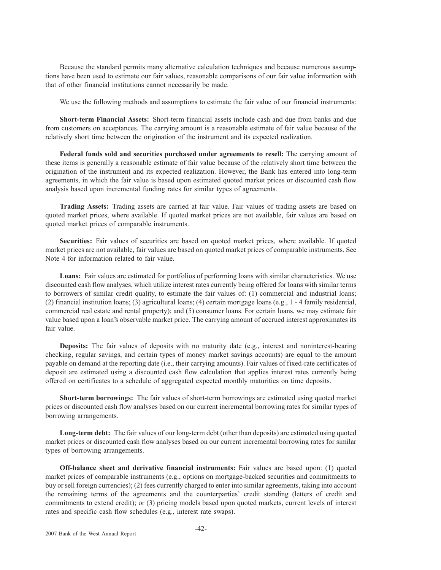Because the standard permits many alternative calculation techniques and because numerous assumptions have been used to estimate our fair values, reasonable comparisons of our fair value information with that of other financial institutions cannot necessarily be made.

We use the following methods and assumptions to estimate the fair value of our financial instruments:

**Short-term Financial Assets:** Short-term financial assets include cash and due from banks and due from customers on acceptances. The carrying amount is a reasonable estimate of fair value because of the relatively short time between the origination of the instrument and its expected realization.

**Federal funds sold and securities purchased under agreements to resell:** The carrying amount of these items is generally a reasonable estimate of fair value because of the relatively short time between the origination of the instrument and its expected realization. However, the Bank has entered into long-term agreements, in which the fair value is based upon estimated quoted market prices or discounted cash flow analysis based upon incremental funding rates for similar types of agreements.

**Trading Assets:** Trading assets are carried at fair value. Fair values of trading assets are based on quoted market prices, where available. If quoted market prices are not available, fair values are based on quoted market prices of comparable instruments.

**Securities:** Fair values of securities are based on quoted market prices, where available. If quoted market prices are not available, fair values are based on quoted market prices of comparable instruments. See Note 4 for information related to fair value.

Loans: Fair values are estimated for portfolios of performing loans with similar characteristics. We use discounted cash flow analyses, which utilize interest rates currently being offered for loans with similar terms to borrowers of similar credit quality, to estimate the fair values of: (1) commercial and industrial loans; (2) financial institution loans; (3) agricultural loans; (4) certain mortgage loans (e.g., 1 - 4 family residential, commercial real estate and rental property); and (5) consumer loans. For certain loans, we may estimate fair value based upon a loan's observable market price. The carrying amount of accrued interest approximates its fair value.

**Deposits:** The fair values of deposits with no maturity date (e.g., interest and noninterest-bearing checking, regular savings, and certain types of money market savings accounts) are equal to the amount payable on demand at the reporting date (i.e., their carrying amounts). Fair values of fixed-rate certificates of deposit are estimated using a discounted cash flow calculation that applies interest rates currently being offered on certificates to a schedule of aggregated expected monthly maturities on time deposits.

**Short-term borrowings:** The fair values of short-term borrowings are estimated using quoted market prices or discounted cash flow analyses based on our current incremental borrowing rates for similar types of borrowing arrangements.

**Long-term debt:** The fair values of our long-term debt (other than deposits) are estimated using quoted market prices or discounted cash flow analyses based on our current incremental borrowing rates for similar types of borrowing arrangements.

**Off-balance sheet and derivative financial instruments:** Fair values are based upon: (1) quoted market prices of comparable instruments (e.g., options on mortgage-backed securities and commitments to buy or sell foreign currencies); (2) fees currently charged to enter into similar agreements, taking into account the remaining terms of the agreements and the counterparties' credit standing (letters of credit and commitments to extend credit); or (3) pricing models based upon quoted markets, current levels of interest rates and specific cash flow schedules (e.g., interest rate swaps).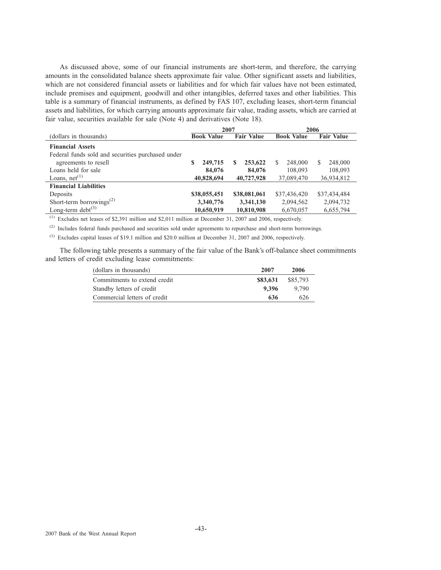As discussed above, some of our financial instruments are short-term, and therefore, the carrying amounts in the consolidated balance sheets approximate fair value. Other significant assets and liabilities, which are not considered financial assets or liabilities and for which fair values have not been estimated, include premises and equipment, goodwill and other intangibles, deferred taxes and other liabilities. This table is a summary of financial instruments, as defined by FAS 107, excluding leases, short-term financial assets and liabilities, for which carrying amounts approximate fair value, trading assets, which are carried at fair value, securities available for sale (Note 4) and derivatives (Note 18).

|                                                   | 2007              |                   | 2006              |                   |  |
|---------------------------------------------------|-------------------|-------------------|-------------------|-------------------|--|
| (dollars in thousands)                            | <b>Book Value</b> | <b>Fair Value</b> | <b>Book Value</b> | <b>Fair Value</b> |  |
| <b>Financial Assets</b>                           |                   |                   |                   |                   |  |
| Federal funds sold and securities purchased under |                   |                   |                   |                   |  |
| agreements to resell                              | S<br>249,715      | 253,622<br>S      | 248,000<br>S      | S.<br>248,000     |  |
| Loans held for sale                               | 84,076            | 84,076            | 108,093           | 108,093           |  |
| Loans, $net^{(1)}$                                | 40,828,694        | 40,727,928        | 37,089,470        | 36,934,812        |  |
| <b>Financial Liabilities</b>                      |                   |                   |                   |                   |  |
| Deposits                                          | \$38,055,451      | \$38,081,061      | \$37,436,420      | \$37,434,484      |  |
| Short-term borrowings <sup><math>(2)</math></sup> | 3,340,776         | 3,341,130         | 2,094,562         | 2,094,732         |  |
| Long-term debt $^{(3)}$                           | 10,650,919        | 10,810,908        | 6,670,057         | 6,655,794         |  |

(1) Excludes net leases of \$2,391 million and \$2,011 million at December 31, 2007 and 2006, respectively.

(2) Includes federal funds purchased and securities sold under agreements to repurchase and short-term borrowings.

(3) Excludes capital leases of \$19.1 million and \$20.0 million at December 31, 2007 and 2006, respectively.

The following table presents a summary of the fair value of the Bank's off-balance sheet commitments and letters of credit excluding lease commitments:

| (dollars in thousands)       | 2007     | 2006     |
|------------------------------|----------|----------|
| Commitments to extend credit | \$83,631 | \$85,793 |
| Standby letters of credit    | 9.396    | 9.790    |
| Commercial letters of credit | 636      | 626      |